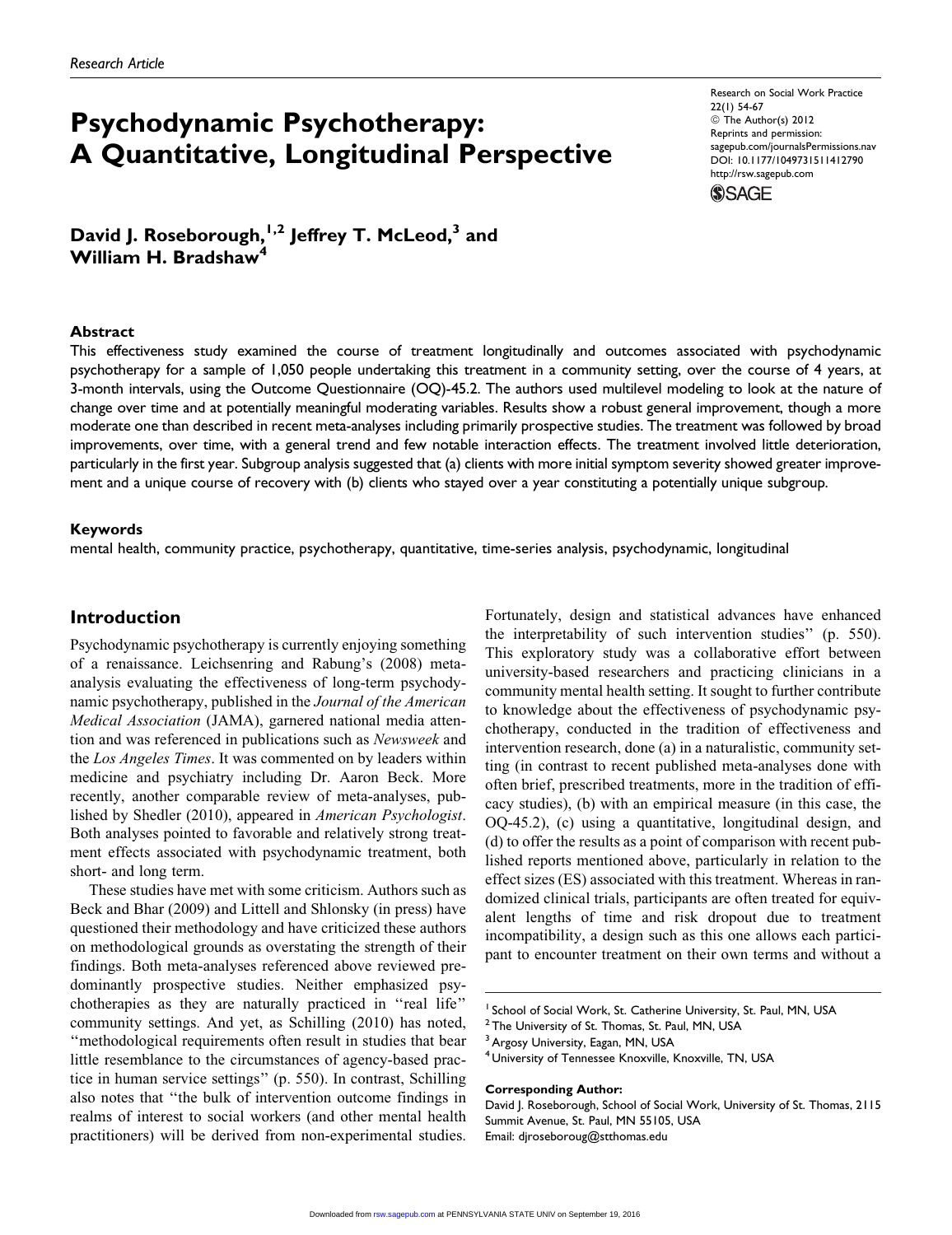# Psychodynamic Psychotherapy: A Quantitative, Longitudinal Perspective

Research on Social Work Practice 22(1) 54-67 © The Author(s) 2012 Reprints and permission: sagepub.com/journalsPermissions.nav DOI: 10.1177/1049731511412790 http://rsw.sagepub.com



David J. Roseborough,<sup>1,2</sup> Jeffrey T. McLeod,<sup>3</sup> and William H. Bradshaw<sup>4</sup>

#### Abstract

This effectiveness study examined the course of treatment longitudinally and outcomes associated with psychodynamic psychotherapy for a sample of 1,050 people undertaking this treatment in a community setting, over the course of 4 years, at 3-month intervals, using the Outcome Questionnaire (OQ)-45.2. The authors used multilevel modeling to look at the nature of change over time and at potentially meaningful moderating variables. Results show a robust general improvement, though a more moderate one than described in recent meta-analyses including primarily prospective studies. The treatment was followed by broad improvements, over time, with a general trend and few notable interaction effects. The treatment involved little deterioration, particularly in the first year. Subgroup analysis suggested that (a) clients with more initial symptom severity showed greater improvement and a unique course of recovery with (b) clients who stayed over a year constituting a potentially unique subgroup.

#### Keywords

mental health, community practice, psychotherapy, quantitative, time-series analysis, psychodynamic, longitudinal

## Introduction

Psychodynamic psychotherapy is currently enjoying something of a renaissance. Leichsenring and Rabung's (2008) metaanalysis evaluating the effectiveness of long-term psychodynamic psychotherapy, published in the Journal of the American Medical Association (JAMA), garnered national media attention and was referenced in publications such as Newsweek and the Los Angeles Times. It was commented on by leaders within medicine and psychiatry including Dr. Aaron Beck. More recently, another comparable review of meta-analyses, published by Shedler (2010), appeared in American Psychologist. Both analyses pointed to favorable and relatively strong treatment effects associated with psychodynamic treatment, both short- and long term.

These studies have met with some criticism. Authors such as Beck and Bhar (2009) and Littell and Shlonsky (in press) have questioned their methodology and have criticized these authors on methodological grounds as overstating the strength of their findings. Both meta-analyses referenced above reviewed predominantly prospective studies. Neither emphasized psychotherapies as they are naturally practiced in ''real life'' community settings. And yet, as Schilling (2010) has noted, ''methodological requirements often result in studies that bear little resemblance to the circumstances of agency-based practice in human service settings'' (p. 550). In contrast, Schilling also notes that ''the bulk of intervention outcome findings in realms of interest to social workers (and other mental health practitioners) will be derived from non-experimental studies. Fortunately, design and statistical advances have enhanced the interpretability of such intervention studies'' (p. 550). This exploratory study was a collaborative effort between university-based researchers and practicing clinicians in a community mental health setting. It sought to further contribute to knowledge about the effectiveness of psychodynamic psychotherapy, conducted in the tradition of effectiveness and intervention research, done (a) in a naturalistic, community setting (in contrast to recent published meta-analyses done with often brief, prescribed treatments, more in the tradition of efficacy studies), (b) with an empirical measure (in this case, the OQ-45.2), (c) using a quantitative, longitudinal design, and (d) to offer the results as a point of comparison with recent published reports mentioned above, particularly in relation to the effect sizes (ES) associated with this treatment. Whereas in randomized clinical trials, participants are often treated for equivalent lengths of time and risk dropout due to treatment incompatibility, a design such as this one allows each participant to encounter treatment on their own terms and without a

#### Corresponding Author:

<sup>&</sup>lt;sup>1</sup> School of Social Work, St. Catherine University, St. Paul, MN, USA

<sup>&</sup>lt;sup>2</sup> The University of St. Thomas, St. Paul, MN, USA

<sup>&</sup>lt;sup>3</sup> Argosy University, Eagan, MN, USA

<sup>4</sup> University of Tennessee Knoxville, Knoxville, TN, USA

David J. Roseborough, School of Social Work, University of St. Thomas, 2115 Summit Avenue, St. Paul, MN 55105, USA Email: djroseboroug@stthomas.edu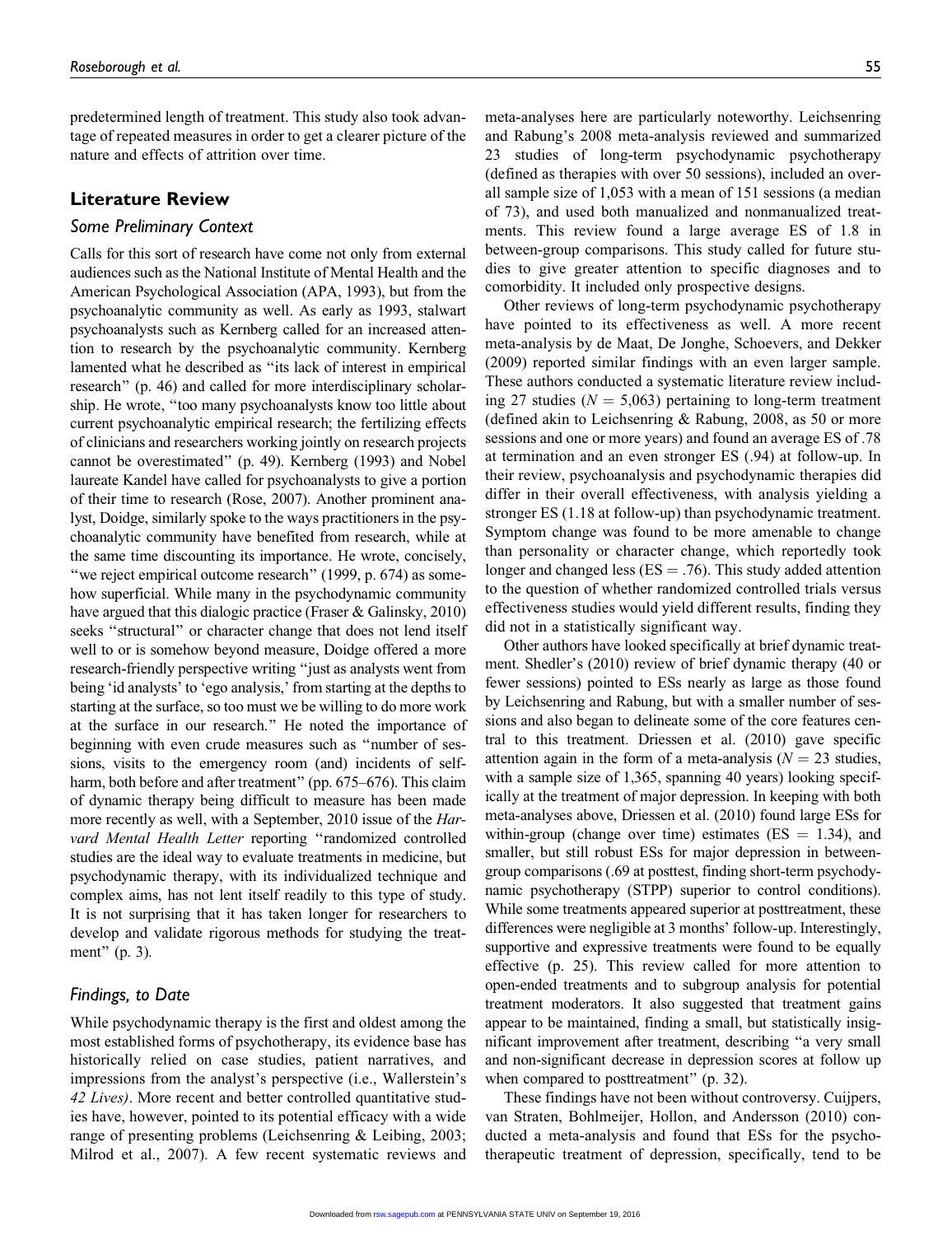predetermined length of treatment. This study also took advantage of repeated measures in order to get a clearer picture of the nature and effects of attrition over time.

## Literature Review

#### Some Preliminary Context

Calls for this sort of research have come not only from external audiences such as the National Institute of Mental Health and the American Psychological Association (APA, 1993), but from the psychoanalytic community as well. As early as 1993, stalwart psychoanalysts such as Kernberg called for an increased attention to research by the psychoanalytic community. Kernberg lamented what he described as ''its lack of interest in empirical research'' (p. 46) and called for more interdisciplinary scholarship. He wrote, ''too many psychoanalysts know too little about current psychoanalytic empirical research; the fertilizing effects of clinicians and researchers working jointly on research projects cannot be overestimated'' (p. 49). Kernberg (1993) and Nobel laureate Kandel have called for psychoanalysts to give a portion of their time to research (Rose, 2007). Another prominent analyst, Doidge, similarly spoke to the ways practitioners in the psychoanalytic community have benefited from research, while at the same time discounting its importance. He wrote, concisely, "we reject empirical outcome research" (1999, p. 674) as somehow superficial. While many in the psychodynamic community have argued that this dialogic practice (Fraser & Galinsky, 2010) seeks ''structural'' or character change that does not lend itself well to or is somehow beyond measure, Doidge offered a more research-friendly perspective writing ''just as analysts went from being 'id analysts' to 'ego analysis,' from starting at the depths to starting at the surface, so too must we be willing to do more work at the surface in our research.'' He noted the importance of beginning with even crude measures such as ''number of sessions, visits to the emergency room (and) incidents of selfharm, both before and after treatment" (pp. 675–676). This claim of dynamic therapy being difficult to measure has been made more recently as well, with a September, 2010 issue of the *Har*vard Mental Health Letter reporting ''randomized controlled studies are the ideal way to evaluate treatments in medicine, but psychodynamic therapy, with its individualized technique and complex aims, has not lent itself readily to this type of study. It is not surprising that it has taken longer for researchers to develop and validate rigorous methods for studying the treatment'' (p. 3).

#### Findings, to Date

While psychodynamic therapy is the first and oldest among the most established forms of psychotherapy, its evidence base has historically relied on case studies, patient narratives, and impressions from the analyst's perspective (i.e., Wallerstein's 42 Lives). More recent and better controlled quantitative studies have, however, pointed to its potential efficacy with a wide range of presenting problems (Leichsenring & Leibing, 2003; Milrod et al., 2007). A few recent systematic reviews and

meta-analyses here are particularly noteworthy. Leichsenring and Rabung's 2008 meta-analysis reviewed and summarized 23 studies of long-term psychodynamic psychotherapy (defined as therapies with over 50 sessions), included an overall sample size of 1,053 with a mean of 151 sessions (a median of 73), and used both manualized and nonmanualized treatments. This review found a large average ES of 1.8 in between-group comparisons. This study called for future studies to give greater attention to specific diagnoses and to comorbidity. It included only prospective designs.

Other reviews of long-term psychodynamic psychotherapy have pointed to its effectiveness as well. A more recent meta-analysis by de Maat, De Jonghe, Schoevers, and Dekker (2009) reported similar findings with an even larger sample. These authors conducted a systematic literature review including 27 studies ( $N = 5,063$ ) pertaining to long-term treatment (defined akin to Leichsenring & Rabung, 2008, as 50 or more sessions and one or more years) and found an average ES of .78 at termination and an even stronger ES (.94) at follow-up. In their review, psychoanalysis and psychodynamic therapies did differ in their overall effectiveness, with analysis yielding a stronger ES (1.18 at follow-up) than psychodynamic treatment. Symptom change was found to be more amenable to change than personality or character change, which reportedly took longer and changed less ( $ES = .76$ ). This study added attention to the question of whether randomized controlled trials versus effectiveness studies would yield different results, finding they did not in a statistically significant way.

Other authors have looked specifically at brief dynamic treatment. Shedler's (2010) review of brief dynamic therapy (40 or fewer sessions) pointed to ESs nearly as large as those found by Leichsenring and Rabung, but with a smaller number of sessions and also began to delineate some of the core features central to this treatment. Driessen et al. (2010) gave specific attention again in the form of a meta-analysis ( $N = 23$  studies, with a sample size of 1,365, spanning 40 years) looking specifically at the treatment of major depression. In keeping with both meta-analyses above, Driessen et al. (2010) found large ESs for within-group (change over time) estimates  $(ES = 1.34)$ , and smaller, but still robust ESs for major depression in betweengroup comparisons (.69 at posttest, finding short-term psychodynamic psychotherapy (STPP) superior to control conditions). While some treatments appeared superior at posttreatment, these differences were negligible at 3 months' follow-up. Interestingly, supportive and expressive treatments were found to be equally effective (p. 25). This review called for more attention to open-ended treatments and to subgroup analysis for potential treatment moderators. It also suggested that treatment gains appear to be maintained, finding a small, but statistically insignificant improvement after treatment, describing ''a very small and non-significant decrease in depression scores at follow up when compared to posttreatment" (p. 32).

These findings have not been without controversy. Cuijpers, van Straten, Bohlmeijer, Hollon, and Andersson (2010) conducted a meta-analysis and found that ESs for the psychotherapeutic treatment of depression, specifically, tend to be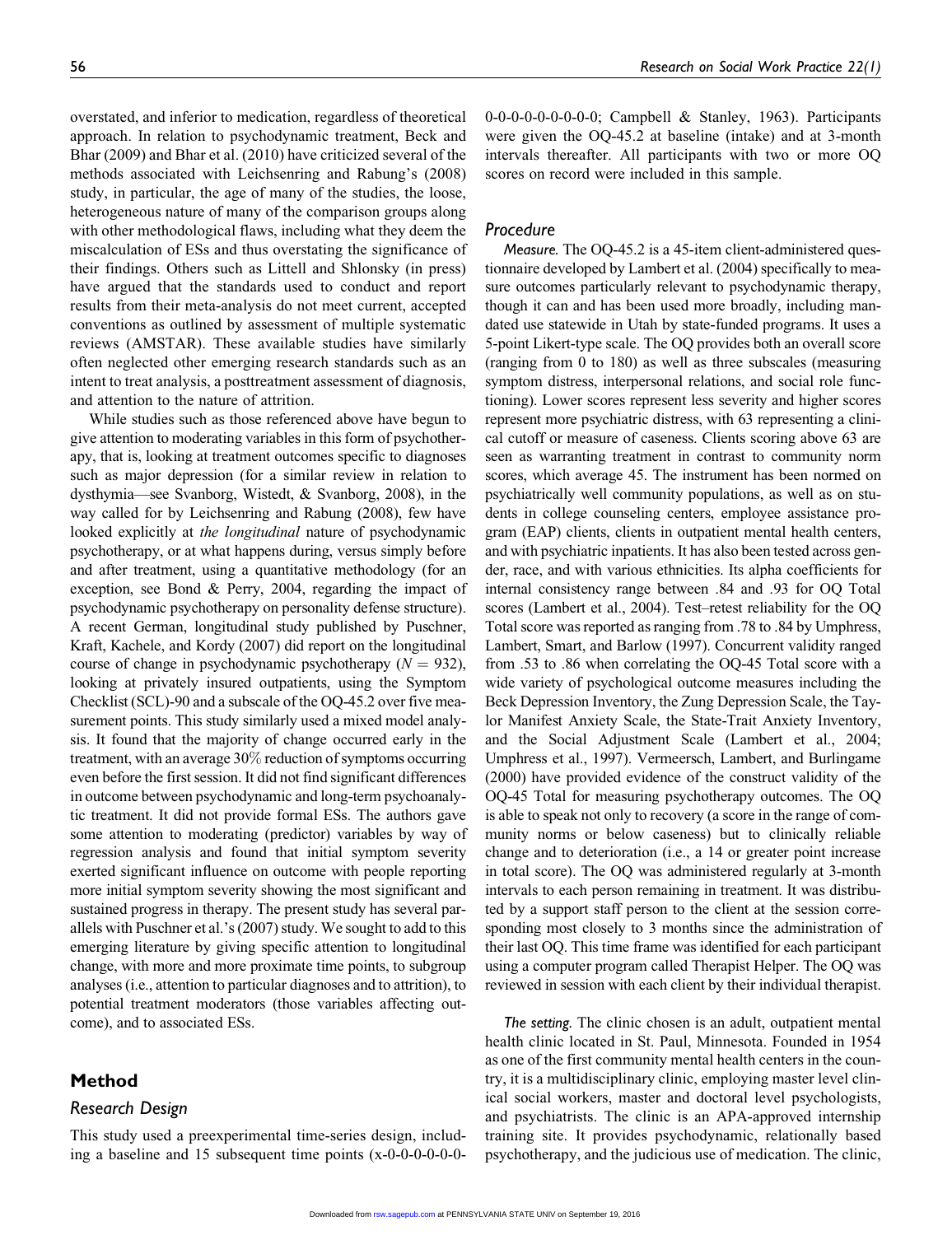overstated, and inferior to medication, regardless of theoretical approach. In relation to psychodynamic treatment, Beck and Bhar (2009) and Bhar et al. (2010) have criticized several of the methods associated with Leichsenring and Rabung's (2008) study, in particular, the age of many of the studies, the loose, heterogeneous nature of many of the comparison groups along with other methodological flaws, including what they deem the miscalculation of ESs and thus overstating the significance of their findings. Others such as Littell and Shlonsky (in press) have argued that the standards used to conduct and report results from their meta-analysis do not meet current, accepted conventions as outlined by assessment of multiple systematic reviews (AMSTAR). These available studies have similarly often neglected other emerging research standards such as an intent to treat analysis, a posttreatment assessment of diagnosis, and attention to the nature of attrition.

While studies such as those referenced above have begun to give attention to moderating variables in this form of psychotherapy, that is, looking at treatment outcomes specific to diagnoses such as major depression (for a similar review in relation to dysthymia—see Svanborg, Wistedt, & Svanborg, 2008), in the way called for by Leichsenring and Rabung (2008), few have looked explicitly at the longitudinal nature of psychodynamic psychotherapy, or at what happens during, versus simply before and after treatment, using a quantitative methodology (for an exception, see Bond & Perry, 2004, regarding the impact of psychodynamic psychotherapy on personality defense structure). A recent German, longitudinal study published by Puschner, Kraft, Kachele, and Kordy (2007) did report on the longitudinal course of change in psychodynamic psychotherapy ( $N = 932$ ), looking at privately insured outpatients, using the Symptom Checklist (SCL)-90 and a subscale of the OQ-45.2 over five measurement points. This study similarly used a mixed model analysis. It found that the majority of change occurred early in the treatment, with an average 30% reduction of symptoms occurring even before the first session. It did not find significant differences in outcome between psychodynamic and long-term psychoanalytic treatment. It did not provide formal ESs. The authors gave some attention to moderating (predictor) variables by way of regression analysis and found that initial symptom severity exerted significant influence on outcome with people reporting more initial symptom severity showing the most significant and sustained progress in therapy. The present study has several parallels with Puschner et al.'s (2007) study. We sought to add to this emerging literature by giving specific attention to longitudinal change, with more and more proximate time points, to subgroup analyses (i.e., attention to particular diagnoses and to attrition), to potential treatment moderators (those variables affecting outcome), and to associated ESs.

## Method

## Research Design

This study used a preexperimental time-series design, including a baseline and 15 subsequent time points (x-0-0-0-0-0-00-0-0-0-0-0-0-0-0; Campbell & Stanley, 1963). Participants were given the OQ-45.2 at baseline (intake) and at 3-month intervals thereafter. All participants with two or more OQ scores on record were included in this sample.

### Procedure

Measure. The OQ-45.2 is a 45-item client-administered questionnaire developed by Lambert et al. (2004) specifically to measure outcomes particularly relevant to psychodynamic therapy, though it can and has been used more broadly, including mandated use statewide in Utah by state-funded programs. It uses a 5-point Likert-type scale. The OQ provides both an overall score (ranging from 0 to 180) as well as three subscales (measuring symptom distress, interpersonal relations, and social role functioning). Lower scores represent less severity and higher scores represent more psychiatric distress, with 63 representing a clinical cutoff or measure of caseness. Clients scoring above 63 are seen as warranting treatment in contrast to community norm scores, which average 45. The instrument has been normed on psychiatrically well community populations, as well as on students in college counseling centers, employee assistance program (EAP) clients, clients in outpatient mental health centers, and with psychiatric inpatients. It has also been tested across gender, race, and with various ethnicities. Its alpha coefficients for internal consistency range between .84 and .93 for OQ Total scores (Lambert et al., 2004). Test–retest reliability for the OQ Total score was reported as ranging from .78 to .84 by Umphress, Lambert, Smart, and Barlow (1997). Concurrent validity ranged from .53 to .86 when correlating the OQ-45 Total score with a wide variety of psychological outcome measures including the Beck Depression Inventory, the Zung Depression Scale, the Taylor Manifest Anxiety Scale, the State-Trait Anxiety Inventory, and the Social Adjustment Scale (Lambert et al., 2004; Umphress et al., 1997). Vermeersch, Lambert, and Burlingame (2000) have provided evidence of the construct validity of the OQ-45 Total for measuring psychotherapy outcomes. The OQ is able to speak not only to recovery (a score in the range of community norms or below caseness) but to clinically reliable change and to deterioration (i.e., a 14 or greater point increase in total score). The OQ was administered regularly at 3-month intervals to each person remaining in treatment. It was distributed by a support staff person to the client at the session corresponding most closely to 3 months since the administration of their last OQ. This time frame was identified for each participant using a computer program called Therapist Helper. The OQ was reviewed in session with each client by their individual therapist.

The setting. The clinic chosen is an adult, outpatient mental health clinic located in St. Paul, Minnesota. Founded in 1954 as one of the first community mental health centers in the country, it is a multidisciplinary clinic, employing master level clinical social workers, master and doctoral level psychologists, and psychiatrists. The clinic is an APA-approved internship training site. It provides psychodynamic, relationally based psychotherapy, and the judicious use of medication. The clinic,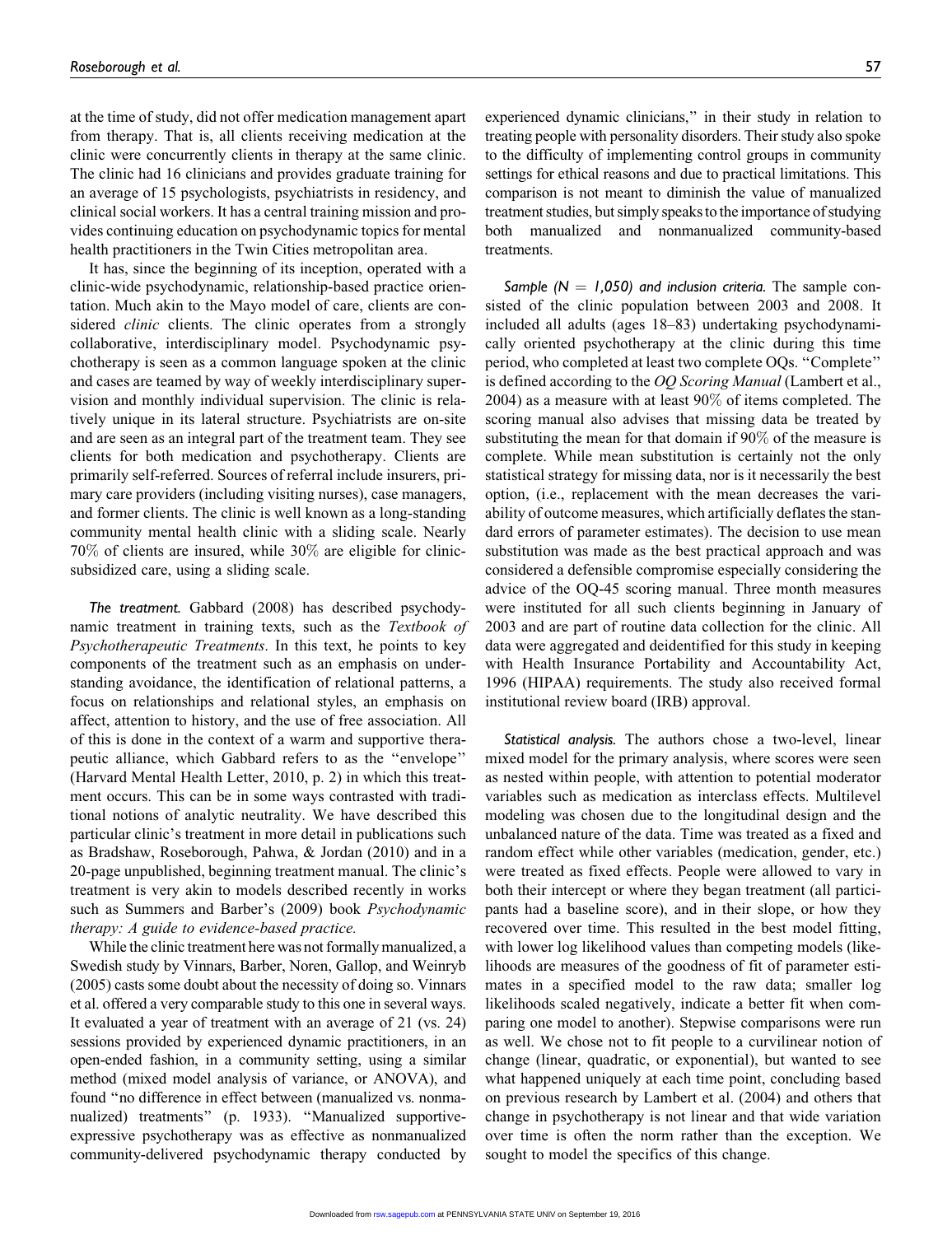at the time of study, did not offer medication management apart from therapy. That is, all clients receiving medication at the clinic were concurrently clients in therapy at the same clinic. The clinic had 16 clinicians and provides graduate training for an average of 15 psychologists, psychiatrists in residency, and clinical social workers. It has a central training mission and provides continuing education on psychodynamic topics for mental health practitioners in the Twin Cities metropolitan area.

It has, since the beginning of its inception, operated with a clinic-wide psychodynamic, relationship-based practice orientation. Much akin to the Mayo model of care, clients are considered *clinic* clients. The clinic operates from a strongly collaborative, interdisciplinary model. Psychodynamic psychotherapy is seen as a common language spoken at the clinic and cases are teamed by way of weekly interdisciplinary supervision and monthly individual supervision. The clinic is relatively unique in its lateral structure. Psychiatrists are on-site and are seen as an integral part of the treatment team. They see clients for both medication and psychotherapy. Clients are primarily self-referred. Sources of referral include insurers, primary care providers (including visiting nurses), case managers, and former clients. The clinic is well known as a long-standing community mental health clinic with a sliding scale. Nearly 70% of clients are insured, while 30% are eligible for clinicsubsidized care, using a sliding scale.

The treatment. Gabbard (2008) has described psychodynamic treatment in training texts, such as the Textbook of Psychotherapeutic Treatments. In this text, he points to key components of the treatment such as an emphasis on understanding avoidance, the identification of relational patterns, a focus on relationships and relational styles, an emphasis on affect, attention to history, and the use of free association. All of this is done in the context of a warm and supportive therapeutic alliance, which Gabbard refers to as the ''envelope'' (Harvard Mental Health Letter, 2010, p. 2) in which this treatment occurs. This can be in some ways contrasted with traditional notions of analytic neutrality. We have described this particular clinic's treatment in more detail in publications such as Bradshaw, Roseborough, Pahwa, & Jordan (2010) and in a 20-page unpublished, beginning treatment manual. The clinic's treatment is very akin to models described recently in works such as Summers and Barber's (2009) book Psychodynamic therapy: A guide to evidence-based practice.

While the clinic treatment here was not formally manualized, a Swedish study by Vinnars, Barber, Noren, Gallop, and Weinryb (2005) casts some doubt about the necessity of doing so. Vinnars et al. offered a very comparable study to this one in several ways. It evaluated a year of treatment with an average of 21 (vs. 24) sessions provided by experienced dynamic practitioners, in an open-ended fashion, in a community setting, using a similar method (mixed model analysis of variance, or ANOVA), and found ''no difference in effect between (manualized vs. nonmanualized) treatments'' (p. 1933). ''Manualized supportiveexpressive psychotherapy was as effective as nonmanualized community-delivered psychodynamic therapy conducted by

experienced dynamic clinicians,'' in their study in relation to treating people with personality disorders. Their study also spoke to the difficulty of implementing control groups in community settings for ethical reasons and due to practical limitations. This comparison is not meant to diminish the value of manualized treatment studies, but simply speaks to the importance of studying both manualized and nonmanualized community-based treatments.

Sample  $(N = 1,050)$  and inclusion criteria. The sample consisted of the clinic population between 2003 and 2008. It included all adults (ages 18–83) undertaking psychodynamically oriented psychotherapy at the clinic during this time period, who completed at least two complete OQs. ''Complete'' is defined according to the OQ Scoring Manual (Lambert et al., 2004) as a measure with at least 90% of items completed. The scoring manual also advises that missing data be treated by substituting the mean for that domain if 90% of the measure is complete. While mean substitution is certainly not the only statistical strategy for missing data, nor is it necessarily the best option, (i.e., replacement with the mean decreases the variability of outcome measures, which artificially deflates the standard errors of parameter estimates). The decision to use mean substitution was made as the best practical approach and was considered a defensible compromise especially considering the advice of the OQ-45 scoring manual. Three month measures were instituted for all such clients beginning in January of 2003 and are part of routine data collection for the clinic. All data were aggregated and deidentified for this study in keeping with Health Insurance Portability and Accountability Act, 1996 (HIPAA) requirements. The study also received formal institutional review board (IRB) approval.

Statistical analysis. The authors chose a two-level, linear mixed model for the primary analysis, where scores were seen as nested within people, with attention to potential moderator variables such as medication as interclass effects. Multilevel modeling was chosen due to the longitudinal design and the unbalanced nature of the data. Time was treated as a fixed and random effect while other variables (medication, gender, etc.) were treated as fixed effects. People were allowed to vary in both their intercept or where they began treatment (all participants had a baseline score), and in their slope, or how they recovered over time. This resulted in the best model fitting, with lower log likelihood values than competing models (likelihoods are measures of the goodness of fit of parameter estimates in a specified model to the raw data; smaller log likelihoods scaled negatively, indicate a better fit when comparing one model to another). Stepwise comparisons were run as well. We chose not to fit people to a curvilinear notion of change (linear, quadratic, or exponential), but wanted to see what happened uniquely at each time point, concluding based on previous research by Lambert et al. (2004) and others that change in psychotherapy is not linear and that wide variation over time is often the norm rather than the exception. We sought to model the specifics of this change.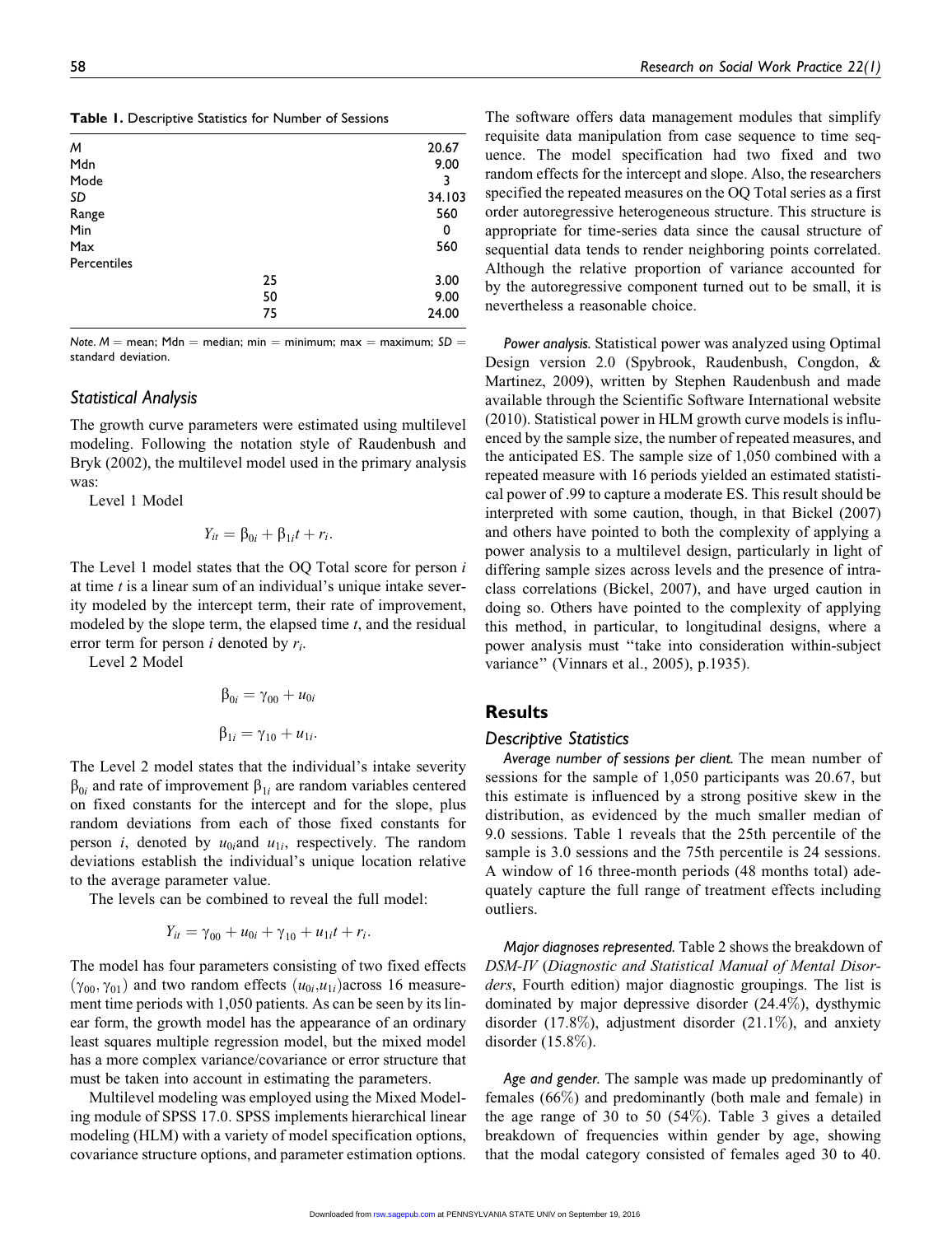| M           |    | 20.67  |
|-------------|----|--------|
| Mdn         |    | 9.00   |
| Mode        |    | 3      |
| SD          |    | 34.103 |
| Range       |    | 560    |
| Min         |    | 0      |
| Max         |    | 560    |
| Percentiles |    |        |
|             | 25 | 3.00   |
|             | 50 | 9.00   |
|             | 75 | 24.00  |
|             |    |        |

Note.  $M =$  mean; Mdn  $=$  median; min  $=$  minimum; max  $=$  maximum; SD  $=$ standard deviation.

#### Statistical Analysis

The growth curve parameters were estimated using multilevel modeling. Following the notation style of Raudenbush and Bryk (2002), the multilevel model used in the primary analysis was:

Level 1 Model

$$
Y_{it} = \beta_{0i} + \beta_{1i}t + r_i.
$$

The Level 1 model states that the OQ Total score for person i at time  $t$  is a linear sum of an individual's unique intake severity modeled by the intercept term, their rate of improvement, modeled by the slope term, the elapsed time  $t$ , and the residual error term for person  $i$  denoted by  $r_i$ .

Level 2 Model

$$
\beta_{0i} = \gamma_{00} + u_{0i}
$$

$$
\beta_{1i} = \gamma_{10} + u_{1i}.
$$

The Level 2 model states that the individual's intake severity  $\beta_{0i}$  and rate of improvement  $\beta_{1i}$  are random variables centered on fixed constants for the intercept and for the slope, plus random deviations from each of those fixed constants for person *i*, denoted by  $u_{0i}$  and  $u_{1i}$ , respectively. The random deviations establish the individual's unique location relative to the average parameter value.

The levels can be combined to reveal the full model:

$$
Y_{it} = \gamma_{00} + u_{0i} + \gamma_{10} + u_{1i}t + r_i.
$$

The model has four parameters consisting of two fixed effects  $(\gamma_{00}, \gamma_{01})$  and two random effects  $(u_{0i}, u_{1i})$ across 16 measurement time periods with 1,050 patients. As can be seen by its linear form, the growth model has the appearance of an ordinary least squares multiple regression model, but the mixed model has a more complex variance/covariance or error structure that must be taken into account in estimating the parameters.

Multilevel modeling was employed using the Mixed Modeling module of SPSS 17.0. SPSS implements hierarchical linear modeling (HLM) with a variety of model specification options, covariance structure options, and parameter estimation options.

The software offers data management modules that simplify requisite data manipulation from case sequence to time sequence. The model specification had two fixed and two random effects for the intercept and slope. Also, the researchers specified the repeated measures on the OQ Total series as a first order autoregressive heterogeneous structure. This structure is appropriate for time-series data since the causal structure of sequential data tends to render neighboring points correlated. Although the relative proportion of variance accounted for by the autoregressive component turned out to be small, it is nevertheless a reasonable choice.

Power analysis. Statistical power was analyzed using Optimal Design version 2.0 (Spybrook, Raudenbush, Congdon, & Martinez, 2009), written by Stephen Raudenbush and made available through the Scientific Software International website (2010). Statistical power in HLM growth curve models is influenced by the sample size, the number of repeated measures, and the anticipated ES. The sample size of 1,050 combined with a repeated measure with 16 periods yielded an estimated statistical power of .99 to capture a moderate ES. This result should be interpreted with some caution, though, in that Bickel (2007) and others have pointed to both the complexity of applying a power analysis to a multilevel design, particularly in light of differing sample sizes across levels and the presence of intraclass correlations (Bickel, 2007), and have urged caution in doing so. Others have pointed to the complexity of applying this method, in particular, to longitudinal designs, where a power analysis must ''take into consideration within-subject variance'' (Vinnars et al., 2005), p.1935).

## Results

#### Descriptive Statistics

Average number of sessions per client. The mean number of sessions for the sample of 1,050 participants was 20.67, but this estimate is influenced by a strong positive skew in the distribution, as evidenced by the much smaller median of 9.0 sessions. Table 1 reveals that the 25th percentile of the sample is 3.0 sessions and the 75th percentile is 24 sessions. A window of 16 three-month periods (48 months total) adequately capture the full range of treatment effects including outliers.

Major diagnoses represented. Table 2 shows the breakdown of DSM-IV (Diagnostic and Statistical Manual of Mental Disorders, Fourth edition) major diagnostic groupings. The list is dominated by major depressive disorder (24.4%), dysthymic disorder (17.8%), adjustment disorder (21.1%), and anxiety disorder (15.8%).

Age and gender. The sample was made up predominantly of females (66%) and predominantly (both male and female) in the age range of 30 to 50  $(54\%)$ . Table 3 gives a detailed breakdown of frequencies within gender by age, showing that the modal category consisted of females aged 30 to 40.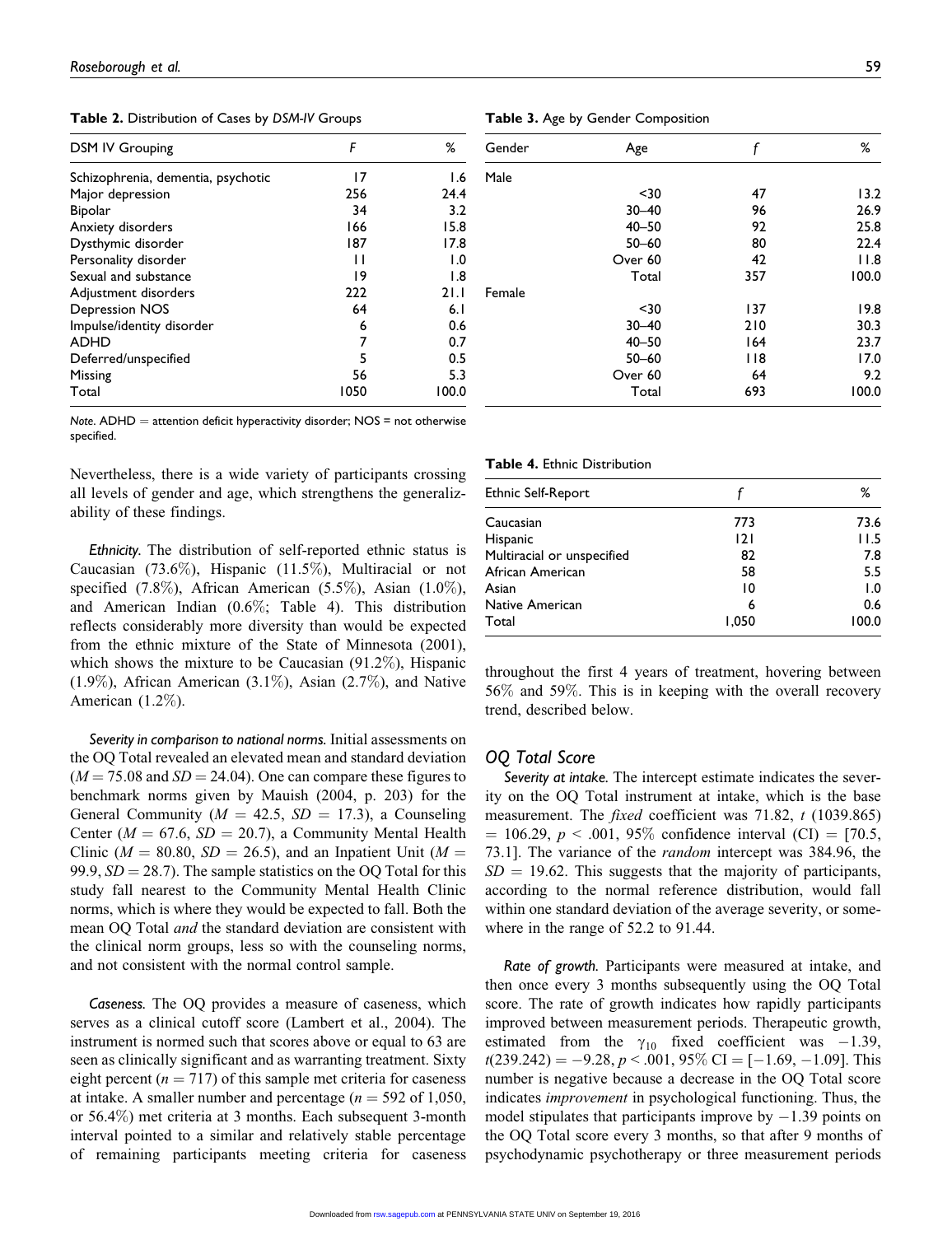| <b>DSM IV Grouping</b>             | F            | ℅     |
|------------------------------------|--------------|-------|
| Schizophrenia, dementia, psychotic | 17           | 1.6   |
| Major depression                   | 256          | 24.4  |
| Bipolar                            | 34           | 3.2   |
| Anxiety disorders                  | 166          | 15.8  |
| Dysthymic disorder                 | 187          | 17.8  |
| Personality disorder               | $\mathsf{L}$ | 1.0   |
| Sexual and substance               | 19           | 1.8   |
| Adjustment disorders               | 222          | 21.1  |
| Depression NOS                     | 64           | 6.1   |
| Impulse/identity disorder          | 6            | 0.6   |
| <b>ADHD</b>                        | 7            | 0.7   |
| Deferred/unspecified               | 5            | 0.5   |
| Missing                            | 56           | 5.3   |
| Total                              | 1050         | 100.0 |

Table 2. Distribution of Cases by DSM-IV Groups

Note.  $ADHD =$  attention deficit hyperactivity disorder;  $NOS =$  not otherwise specified.

Nevertheless, there is a wide variety of participants crossing all levels of gender and age, which strengthens the generalizability of these findings.

Ethnicity. The distribution of self-reported ethnic status is Caucasian (73.6%), Hispanic (11.5%), Multiracial or not specified  $(7.8\%)$ , African American  $(5.5\%)$ , Asian  $(1.0\%)$ , and American Indian (0.6%; Table 4). This distribution reflects considerably more diversity than would be expected from the ethnic mixture of the State of Minnesota (2001), which shows the mixture to be Caucasian (91.2%), Hispanic  $(1.9\%)$ , African American  $(3.1\%)$ , Asian  $(2.7\%)$ , and Native American (1.2%).

Severity in comparison to national norms. Initial assessments on the OQ Total revealed an elevated mean and standard deviation  $(M = 75.08$  and  $SD = 24.04$ ). One can compare these figures to benchmark norms given by Mauish (2004, p. 203) for the General Community ( $M = 42.5$ ,  $SD = 17.3$ ), a Counseling Center ( $M = 67.6$ ,  $SD = 20.7$ ), a Community Mental Health Clinic ( $M = 80.80$ ,  $SD = 26.5$ ), and an Inpatient Unit ( $M =$ 99.9,  $SD = 28.7$ ). The sample statistics on the OQ Total for this study fall nearest to the Community Mental Health Clinic norms, which is where they would be expected to fall. Both the mean OQ Total *and* the standard deviation are consistent with the clinical norm groups, less so with the counseling norms, and not consistent with the normal control sample.

Caseness. The OQ provides a measure of caseness, which serves as a clinical cutoff score (Lambert et al., 2004). The instrument is normed such that scores above or equal to 63 are seen as clinically significant and as warranting treatment. Sixty eight percent ( $n = 717$ ) of this sample met criteria for caseness at intake. A smaller number and percentage ( $n = 592$  of 1,050, or 56.4%) met criteria at 3 months. Each subsequent 3-month interval pointed to a similar and relatively stable percentage of remaining participants meeting criteria for caseness

Table 3. Age by Gender Composition

| Gender | Age       | f         | ℅     |
|--------|-----------|-----------|-------|
| Male   |           |           |       |
|        | $30$      | 47        | 13.2  |
|        | $30 - 40$ | 96        | 26.9  |
|        | $40 - 50$ | 92        | 25.8  |
|        | $50 - 60$ | 80        | 22.4  |
|        | Over 60   | 42        | 11.8  |
|        | Total     | 357       | 100.0 |
| Female |           |           |       |
|        | $30$      | 137       | 19.8  |
|        | $30 - 40$ | 210       | 30.3  |
|        | $40 - 50$ | 164       | 23.7  |
|        | $50 - 60$ | $ $ $ $ 8 | 17.0  |
|        | Over 60   | 64        | 9.2   |
|        | Total     | 693       | 100.0 |

|  |  | <b>Table 4. Ethnic Distribution</b> |
|--|--|-------------------------------------|
|--|--|-------------------------------------|

| Ethnic Self-Report         |       | ℅     |
|----------------------------|-------|-------|
| Caucasian                  | 773   | 73.6  |
| Hispanic                   | 2     | 11.5  |
| Multiracial or unspecified | 82    | 7.8   |
| African American           | 58    | 5.5   |
| Asian                      | 10    | 1.0   |
| Native American            | 6     | 0.6   |
| Total                      | 1.050 | 100.0 |

throughout the first 4 years of treatment, hovering between 56% and 59%. This is in keeping with the overall recovery trend, described below.

### OQ Total Score

Severity at intake. The intercept estimate indicates the severity on the OQ Total instrument at intake, which is the base measurement. The *fixed* coefficient was 71.82, t (1039.865)  $= 106.29, p < .001, 95\%$  confidence interval (CI)  $= [70.5,$ 73.1]. The variance of the random intercept was 384.96, the  $SD = 19.62$ . This suggests that the majority of participants, according to the normal reference distribution, would fall within one standard deviation of the average severity, or somewhere in the range of 52.2 to 91.44.

Rate of growth. Participants were measured at intake, and then once every 3 months subsequently using the OQ Total score. The rate of growth indicates how rapidly participants improved between measurement periods. Therapeutic growth, estimated from the  $\gamma_{10}$  fixed coefficient was  $-1.39$ ,  $t(239.242) = -9.28, p < .001, 95\% \text{ CI} = [-1.69, -1.09].$  This number is negative because a decrease in the OQ Total score indicates improvement in psychological functioning. Thus, the model stipulates that participants improve by  $-1.39$  points on the OQ Total score every 3 months, so that after 9 months of psychodynamic psychotherapy or three measurement periods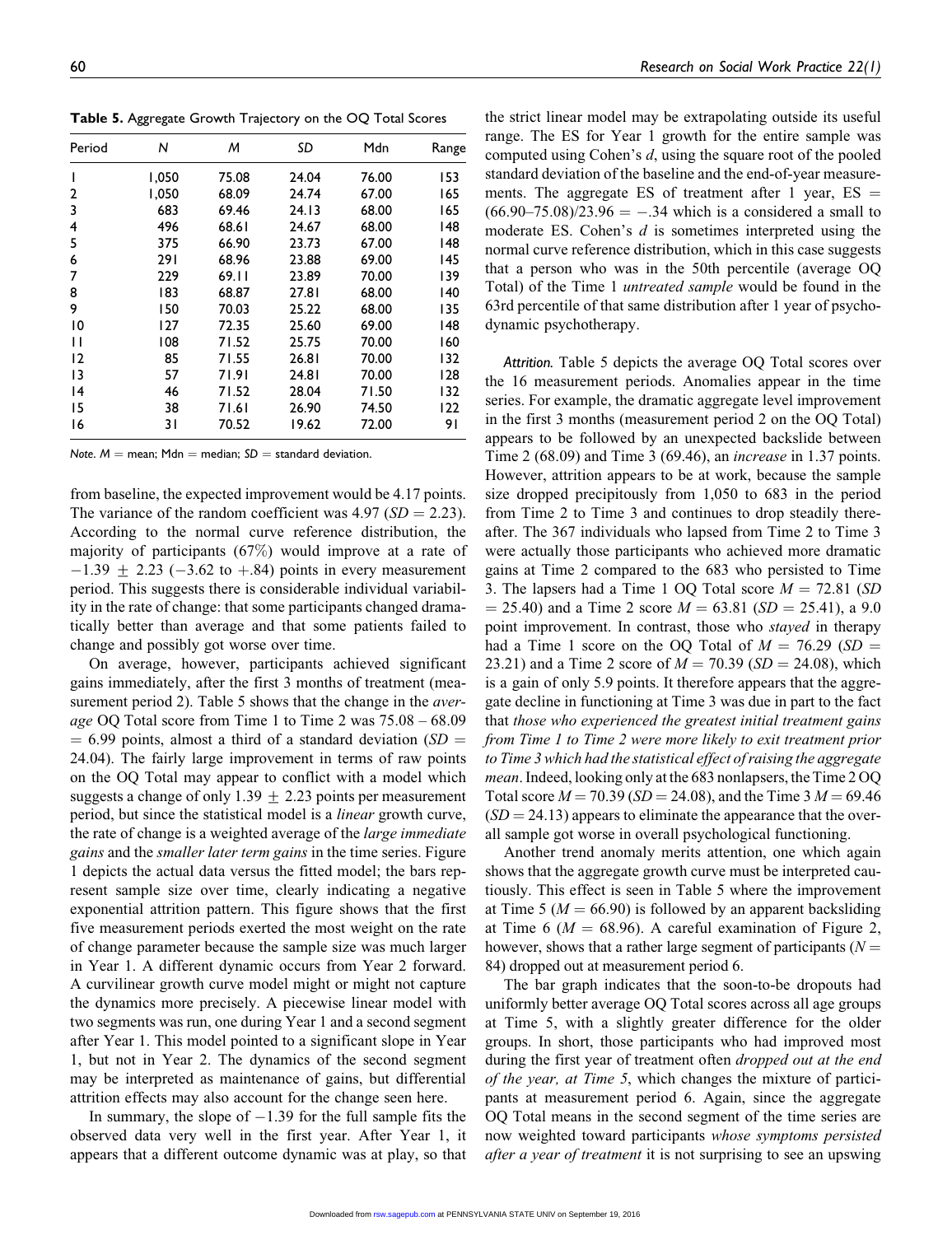Table 5. Aggregate Growth Trajectory on the OQ Total Scores

| Period | N     | M     | SD    | Mdn   | Range |
|--------|-------|-------|-------|-------|-------|
| I      | 1,050 | 75.08 | 24.04 | 76.00 | 153   |
| 2      | 1.050 | 68.09 | 24.74 | 67.00 | 165   |
| 3      | 683   | 69.46 | 24.13 | 68.00 | 165   |
| 4      | 496   | 68.61 | 24.67 | 68.00 | 148   |
| 5      | 375   | 66.90 | 23.73 | 67.00 | 148   |
| 6      | 291   | 68.96 | 23.88 | 69.00 | 145   |
| 7      | 229   | 69.11 | 23.89 | 70.00 | 139   |
| 8      | 183   | 68.87 | 27.81 | 68.00 | 140   |
| 9      | 150   | 70.03 | 25.22 | 68.00 | 135   |
| 10     | 127   | 72.35 | 25.60 | 69.00 | 148   |
| п      | 108   | 71.52 | 25.75 | 70.00 | 160   |
| 12     | 85    | 71.55 | 26.81 | 70.00 | 132   |
| 13     | 57    | 71.91 | 24.81 | 70.00 | 128   |
| 14     | 46    | 71.52 | 28.04 | 71.50 | 132   |
| 15     | 38    | 71.61 | 26.90 | 74.50 | 122   |
| 16     | 31    | 70.52 | 19.62 | 72.00 | 91    |

Note.  $M =$  mean; Mdn  $=$  median; SD  $=$  standard deviation.

from baseline, the expected improvement would be 4.17 points. The variance of the random coefficient was 4.97 ( $SD = 2.23$ ). According to the normal curve reference distribution, the majority of participants (67%) would improve at a rate of  $-1.39 \pm 2.23$  (-3.62 to +.84) points in every measurement period. This suggests there is considerable individual variability in the rate of change: that some participants changed dramatically better than average and that some patients failed to change and possibly got worse over time.

On average, however, participants achieved significant gains immediately, after the first 3 months of treatment (measurement period 2). Table 5 shows that the change in the *aver*age OQ Total score from Time 1 to Time 2 was 75.08 – 68.09  $= 6.99$  points, almost a third of a standard deviation (SD  $=$ 24.04). The fairly large improvement in terms of raw points on the OQ Total may appear to conflict with a model which suggests a change of only 1.39  $\pm$  2.23 points per measurement period, but since the statistical model is a linear growth curve, the rate of change is a weighted average of the *large immediate* gains and the smaller later term gains in the time series. Figure 1 depicts the actual data versus the fitted model; the bars represent sample size over time, clearly indicating a negative exponential attrition pattern. This figure shows that the first five measurement periods exerted the most weight on the rate of change parameter because the sample size was much larger in Year 1. A different dynamic occurs from Year 2 forward. A curvilinear growth curve model might or might not capture the dynamics more precisely. A piecewise linear model with two segments was run, one during Year 1 and a second segment after Year 1. This model pointed to a significant slope in Year 1, but not in Year 2. The dynamics of the second segment may be interpreted as maintenance of gains, but differential attrition effects may also account for the change seen here.

In summary, the slope of  $-1.39$  for the full sample fits the observed data very well in the first year. After Year 1, it appears that a different outcome dynamic was at play, so that

the strict linear model may be extrapolating outside its useful range. The ES for Year 1 growth for the entire sample was computed using Cohen's  $d$ , using the square root of the pooled standard deviation of the baseline and the end-of-year measurements. The aggregate ES of treatment after 1 year,  $ES =$  $(66.90 - 75.08)/23.96 = -0.34$  which is a considered a small to moderate ES. Cohen's d is sometimes interpreted using the normal curve reference distribution, which in this case suggests that a person who was in the 50th percentile (average OQ Total) of the Time 1 untreated sample would be found in the 63rd percentile of that same distribution after 1 year of psychodynamic psychotherapy.

Attrition. Table 5 depicts the average OQ Total scores over the 16 measurement periods. Anomalies appear in the time series. For example, the dramatic aggregate level improvement in the first 3 months (measurement period 2 on the OQ Total) appears to be followed by an unexpected backslide between Time 2 (68.09) and Time 3 (69.46), an increase in 1.37 points. However, attrition appears to be at work, because the sample size dropped precipitously from 1,050 to 683 in the period from Time 2 to Time 3 and continues to drop steadily thereafter. The 367 individuals who lapsed from Time 2 to Time 3 were actually those participants who achieved more dramatic gains at Time 2 compared to the 683 who persisted to Time 3. The lapsers had a Time 1 OQ Total score  $M = 72.81$  (SD  $=$  25.40) and a Time 2 score  $M = 63.81$  (SD = 25.41), a 9.0 point improvement. In contrast, those who *stayed* in therapy had a Time 1 score on the OQ Total of  $M = 76.29$  (SD = 23.21) and a Time 2 score of  $M = 70.39$  (SD = 24.08), which is a gain of only 5.9 points. It therefore appears that the aggregate decline in functioning at Time 3 was due in part to the fact that those who experienced the greatest initial treatment gains from Time 1 to Time 2 were more likely to exit treatment prior to Time 3 which had the statistical effect of raising the aggregate mean. Indeed, looking only at the 683 nonlapsers, the Time 2 OQ Total score  $M = 70.39$  (SD = 24.08), and the Time 3  $M = 69.46$  $(SD = 24.13)$  appears to eliminate the appearance that the overall sample got worse in overall psychological functioning.

Another trend anomaly merits attention, one which again shows that the aggregate growth curve must be interpreted cautiously. This effect is seen in Table 5 where the improvement at Time 5 ( $M = 66.90$ ) is followed by an apparent backsliding at Time 6 ( $M = 68.96$ ). A careful examination of Figure 2, however, shows that a rather large segment of participants ( $N =$ 84) dropped out at measurement period 6.

The bar graph indicates that the soon-to-be dropouts had uniformly better average OQ Total scores across all age groups at Time 5, with a slightly greater difference for the older groups. In short, those participants who had improved most during the first year of treatment often *dropped out at the end* of the year, at Time 5, which changes the mixture of participants at measurement period 6. Again, since the aggregate OQ Total means in the second segment of the time series are now weighted toward participants whose symptoms persisted after a year of treatment it is not surprising to see an upswing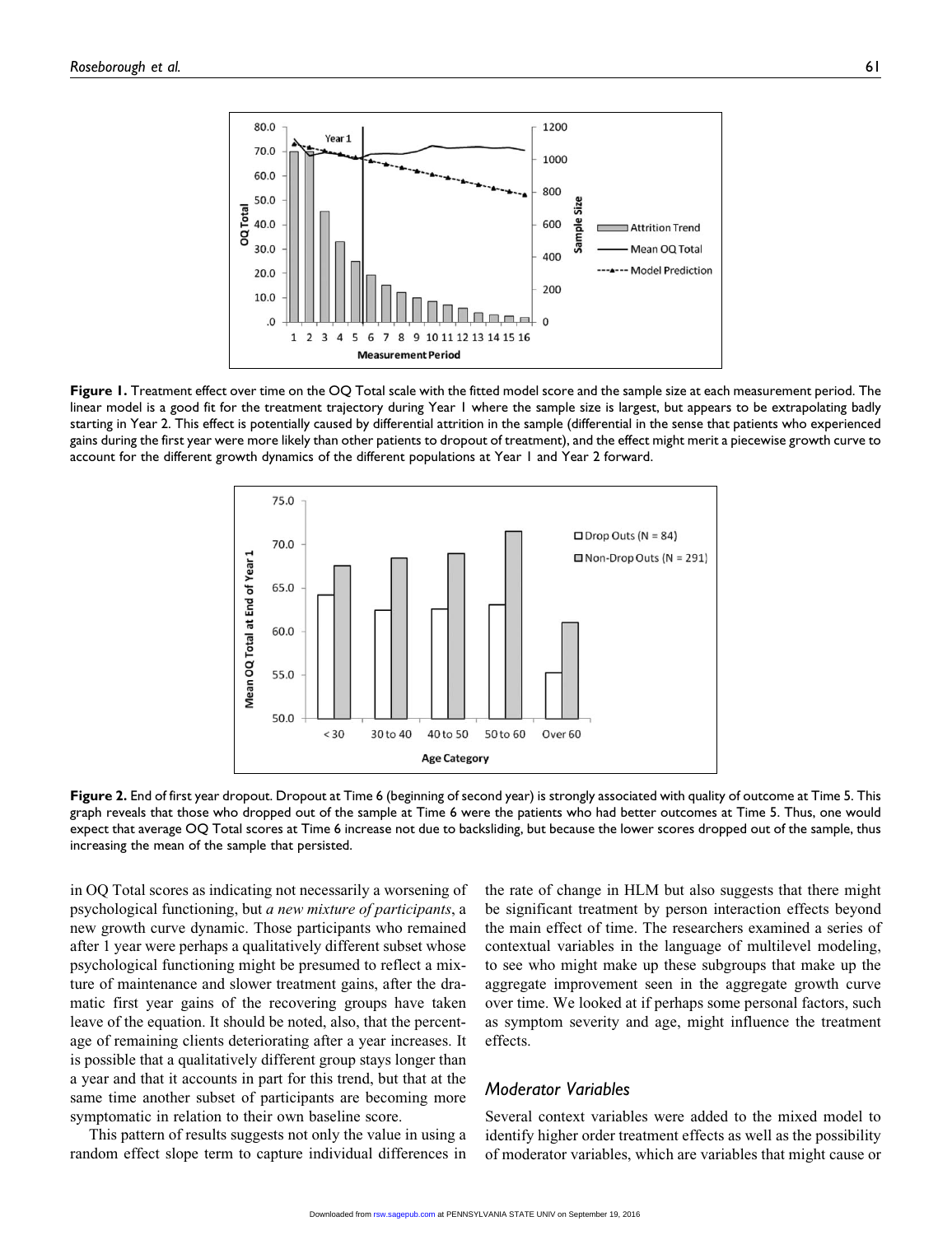

Figure 1. Treatment effect over time on the OO Total scale with the fitted model score and the sample size at each measurement period. The linear model is a good fit for the treatment trajectory during Year 1 where the sample size is largest, but appears to be extrapolating badly starting in Year 2. This effect is potentially caused by differential attrition in the sample (differential in the sense that patients who experienced gains during the first year were more likely than other patients to dropout of treatment), and the effect might merit a piecewise growth curve to account for the different growth dynamics of the different populations at Year 1 and Year 2 forward.



Figure 2. End of first year dropout. Dropout at Time 6 (beginning of second year) is strongly associated with quality of outcome at Time 5. This graph reveals that those who dropped out of the sample at Time 6 were the patients who had better outcomes at Time 5. Thus, one would expect that average OQ Total scores at Time 6 increase not due to backsliding, but because the lower scores dropped out of the sample, thus increasing the mean of the sample that persisted.

in OQ Total scores as indicating not necessarily a worsening of psychological functioning, but a new mixture of participants, a new growth curve dynamic. Those participants who remained after 1 year were perhaps a qualitatively different subset whose psychological functioning might be presumed to reflect a mixture of maintenance and slower treatment gains, after the dramatic first year gains of the recovering groups have taken leave of the equation. It should be noted, also, that the percentage of remaining clients deteriorating after a year increases. It is possible that a qualitatively different group stays longer than a year and that it accounts in part for this trend, but that at the same time another subset of participants are becoming more symptomatic in relation to their own baseline score.

This pattern of results suggests not only the value in using a random effect slope term to capture individual differences in

the rate of change in HLM but also suggests that there might be significant treatment by person interaction effects beyond the main effect of time. The researchers examined a series of contextual variables in the language of multilevel modeling, to see who might make up these subgroups that make up the aggregate improvement seen in the aggregate growth curve over time. We looked at if perhaps some personal factors, such as symptom severity and age, might influence the treatment effects.

## Moderator Variables

Several context variables were added to the mixed model to identify higher order treatment effects as well as the possibility of moderator variables, which are variables that might cause or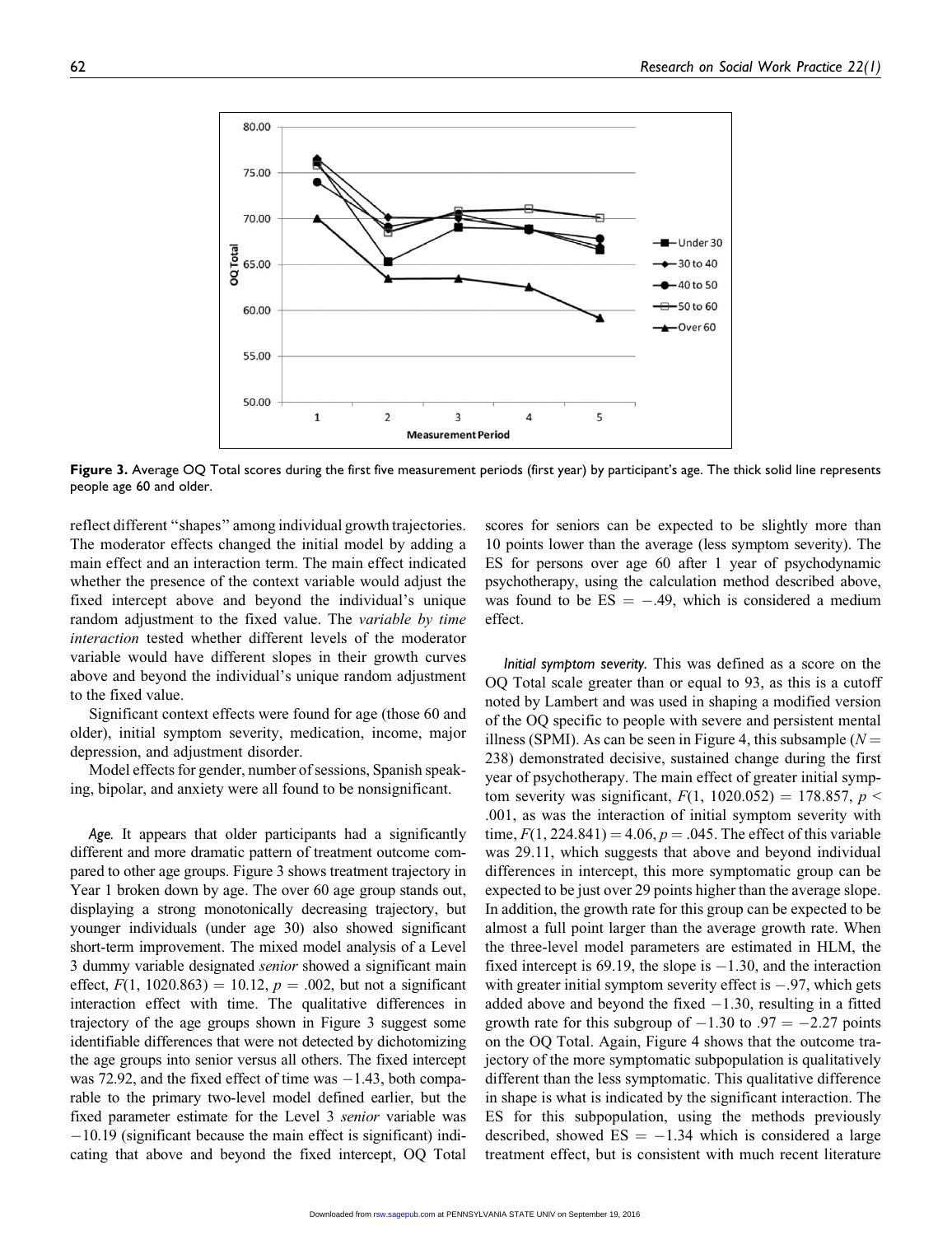

Figure 3. Average OQ Total scores during the first five measurement periods (first year) by participant's age. The thick solid line represents people age 60 and older.

reflect different ''shapes'' among individual growth trajectories. The moderator effects changed the initial model by adding a main effect and an interaction term. The main effect indicated whether the presence of the context variable would adjust the fixed intercept above and beyond the individual's unique random adjustment to the fixed value. The *variable by time* interaction tested whether different levels of the moderator variable would have different slopes in their growth curves above and beyond the individual's unique random adjustment to the fixed value.

Significant context effects were found for age (those 60 and older), initial symptom severity, medication, income, major depression, and adjustment disorder.

Model effects for gender, number of sessions, Spanish speaking, bipolar, and anxiety were all found to be nonsignificant.

Age. It appears that older participants had a significantly different and more dramatic pattern of treatment outcome compared to other age groups. Figure 3 shows treatment trajectory in Year 1 broken down by age. The over 60 age group stands out, displaying a strong monotonically decreasing trajectory, but younger individuals (under age 30) also showed significant short-term improvement. The mixed model analysis of a Level 3 dummy variable designated senior showed a significant main effect,  $F(1, 1020.863) = 10.12$ ,  $p = .002$ , but not a significant interaction effect with time. The qualitative differences in trajectory of the age groups shown in Figure 3 suggest some identifiable differences that were not detected by dichotomizing the age groups into senior versus all others. The fixed intercept was 72.92, and the fixed effect of time was  $-1.43$ , both comparable to the primary two-level model defined earlier, but the fixed parameter estimate for the Level 3 senior variable was -10.19 (significant because the main effect is significant) indicating that above and beyond the fixed intercept, OQ Total

scores for seniors can be expected to be slightly more than 10 points lower than the average (less symptom severity). The ES for persons over age 60 after 1 year of psychodynamic psychotherapy, using the calculation method described above, was found to be  $ES = -.49$ , which is considered a medium effect.

Initial symptom severity. This was defined as a score on the OQ Total scale greater than or equal to 93, as this is a cutoff noted by Lambert and was used in shaping a modified version of the OQ specific to people with severe and persistent mental illness (SPMI). As can be seen in Figure 4, this subsample ( $N =$ 238) demonstrated decisive, sustained change during the first year of psychotherapy. The main effect of greater initial symptom severity was significant,  $F(1, 1020.052) = 178.857$ ,  $p <$ .001, as was the interaction of initial symptom severity with time,  $F(1, 224.841) = 4.06$ ,  $p = .045$ . The effect of this variable was 29.11, which suggests that above and beyond individual differences in intercept, this more symptomatic group can be expected to be just over 29 points higher than the average slope. In addition, the growth rate for this group can be expected to be almost a full point larger than the average growth rate. When the three-level model parameters are estimated in HLM, the fixed intercept is  $69.19$ , the slope is  $-1.30$ , and the interaction with greater initial symptom severity effect is  $-.97$ , which gets added above and beyond the fixed  $-1.30$ , resulting in a fitted growth rate for this subgroup of  $-1.30$  to  $.97 = -2.27$  points on the OQ Total. Again, Figure 4 shows that the outcome trajectory of the more symptomatic subpopulation is qualitatively different than the less symptomatic. This qualitative difference in shape is what is indicated by the significant interaction. The ES for this subpopulation, using the methods previously described, showed  $ES = -1.34$  which is considered a large treatment effect, but is consistent with much recent literature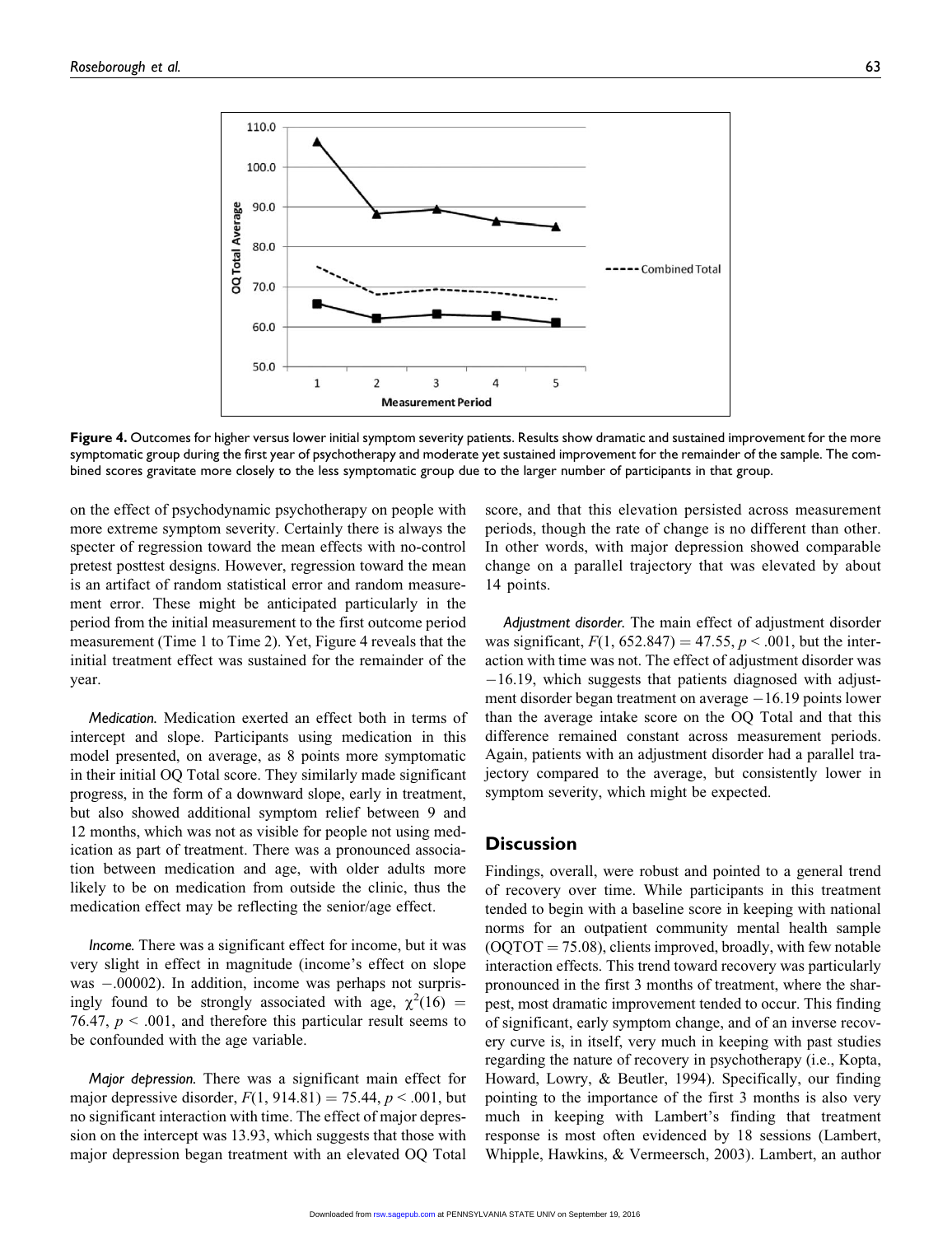

Figure 4. Outcomes for higher versus lower initial symptom severity patients. Results show dramatic and sustained improvement for the more symptomatic group during the first year of psychotherapy and moderate yet sustained improvement for the remainder of the sample. The combined scores gravitate more closely to the less symptomatic group due to the larger number of participants in that group.

on the effect of psychodynamic psychotherapy on people with more extreme symptom severity. Certainly there is always the specter of regression toward the mean effects with no-control pretest posttest designs. However, regression toward the mean is an artifact of random statistical error and random measurement error. These might be anticipated particularly in the period from the initial measurement to the first outcome period measurement (Time 1 to Time 2). Yet, Figure 4 reveals that the initial treatment effect was sustained for the remainder of the year.

Medication. Medication exerted an effect both in terms of intercept and slope. Participants using medication in this model presented, on average, as 8 points more symptomatic in their initial OQ Total score. They similarly made significant progress, in the form of a downward slope, early in treatment, but also showed additional symptom relief between 9 and 12 months, which was not as visible for people not using medication as part of treatment. There was a pronounced association between medication and age, with older adults more likely to be on medication from outside the clinic, thus the medication effect may be reflecting the senior/age effect.

Income. There was a significant effect for income, but it was very slight in effect in magnitude (income's effect on slope was -.00002). In addition, income was perhaps not surprisingly found to be strongly associated with age,  $\chi^2(16)$  = 76.47,  $p < .001$ , and therefore this particular result seems to be confounded with the age variable.

Major depression. There was a significant main effect for major depressive disorder,  $F(1, 914.81) = 75.44$ ,  $p < .001$ , but no significant interaction with time. The effect of major depression on the intercept was 13.93, which suggests that those with major depression began treatment with an elevated OQ Total

score, and that this elevation persisted across measurement periods, though the rate of change is no different than other. In other words, with major depression showed comparable change on a parallel trajectory that was elevated by about 14 points.

Adjustment disorder. The main effect of adjustment disorder was significant,  $F(1, 652.847) = 47.55$ ,  $p < .001$ , but the interaction with time was not. The effect of adjustment disorder was -16.19, which suggests that patients diagnosed with adjustment disorder began treatment on average  $-16.19$  points lower than the average intake score on the OQ Total and that this difference remained constant across measurement periods. Again, patients with an adjustment disorder had a parallel trajectory compared to the average, but consistently lower in symptom severity, which might be expected.

## **Discussion**

Findings, overall, were robust and pointed to a general trend of recovery over time. While participants in this treatment tended to begin with a baseline score in keeping with national norms for an outpatient community mental health sample  $(OQTOT = 75.08)$ , clients improved, broadly, with few notable interaction effects. This trend toward recovery was particularly pronounced in the first 3 months of treatment, where the sharpest, most dramatic improvement tended to occur. This finding of significant, early symptom change, and of an inverse recovery curve is, in itself, very much in keeping with past studies regarding the nature of recovery in psychotherapy (i.e., Kopta, Howard, Lowry, & Beutler, 1994). Specifically, our finding pointing to the importance of the first 3 months is also very much in keeping with Lambert's finding that treatment response is most often evidenced by 18 sessions (Lambert, Whipple, Hawkins, & Vermeersch, 2003). Lambert, an author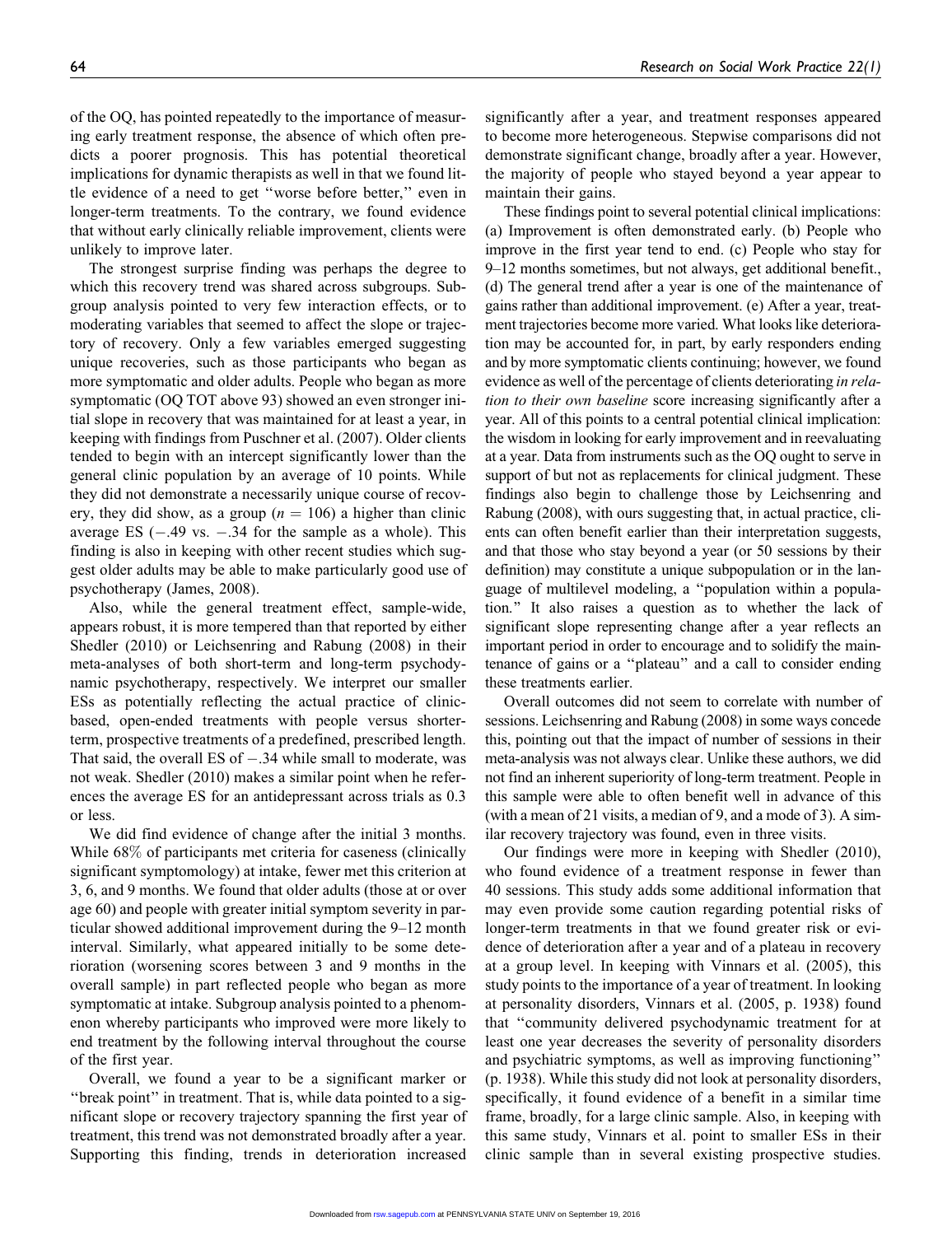of the OQ, has pointed repeatedly to the importance of measuring early treatment response, the absence of which often predicts a poorer prognosis. This has potential theoretical implications for dynamic therapists as well in that we found little evidence of a need to get ''worse before better,'' even in longer-term treatments. To the contrary, we found evidence that without early clinically reliable improvement, clients were unlikely to improve later.

The strongest surprise finding was perhaps the degree to which this recovery trend was shared across subgroups. Subgroup analysis pointed to very few interaction effects, or to moderating variables that seemed to affect the slope or trajectory of recovery. Only a few variables emerged suggesting unique recoveries, such as those participants who began as more symptomatic and older adults. People who began as more symptomatic (OQ TOT above 93) showed an even stronger initial slope in recovery that was maintained for at least a year, in keeping with findings from Puschner et al. (2007). Older clients tended to begin with an intercept significantly lower than the general clinic population by an average of 10 points. While they did not demonstrate a necessarily unique course of recovery, they did show, as a group ( $n = 106$ ) a higher than clinic average ES  $(-.49 \text{ vs. } -.34 \text{ for the sample as a whole}).$  This finding is also in keeping with other recent studies which suggest older adults may be able to make particularly good use of psychotherapy (James, 2008).

Also, while the general treatment effect, sample-wide, appears robust, it is more tempered than that reported by either Shedler (2010) or Leichsenring and Rabung (2008) in their meta-analyses of both short-term and long-term psychodynamic psychotherapy, respectively. We interpret our smaller ESs as potentially reflecting the actual practice of clinicbased, open-ended treatments with people versus shorterterm, prospective treatments of a predefined, prescribed length. That said, the overall  $ES$  of  $-.34$  while small to moderate, was not weak. Shedler (2010) makes a similar point when he references the average ES for an antidepressant across trials as 0.3 or less.

We did find evidence of change after the initial 3 months. While 68% of participants met criteria for caseness (clinically significant symptomology) at intake, fewer met this criterion at 3, 6, and 9 months. We found that older adults (those at or over age 60) and people with greater initial symptom severity in particular showed additional improvement during the 9–12 month interval. Similarly, what appeared initially to be some deterioration (worsening scores between 3 and 9 months in the overall sample) in part reflected people who began as more symptomatic at intake. Subgroup analysis pointed to a phenomenon whereby participants who improved were more likely to end treatment by the following interval throughout the course of the first year.

Overall, we found a year to be a significant marker or "break point" in treatment. That is, while data pointed to a significant slope or recovery trajectory spanning the first year of treatment, this trend was not demonstrated broadly after a year. Supporting this finding, trends in deterioration increased

significantly after a year, and treatment responses appeared to become more heterogeneous. Stepwise comparisons did not demonstrate significant change, broadly after a year. However, the majority of people who stayed beyond a year appear to maintain their gains.

These findings point to several potential clinical implications: (a) Improvement is often demonstrated early. (b) People who improve in the first year tend to end. (c) People who stay for 9–12 months sometimes, but not always, get additional benefit., (d) The general trend after a year is one of the maintenance of gains rather than additional improvement. (e) After a year, treatment trajectories become more varied. What looks like deterioration may be accounted for, in part, by early responders ending and by more symptomatic clients continuing; however, we found evidence as well of the percentage of clients deteriorating *in rela*tion to their own baseline score increasing significantly after a year. All of this points to a central potential clinical implication: the wisdom in looking for early improvement and in reevaluating at a year. Data from instruments such as the OQ ought to serve in support of but not as replacements for clinical judgment. These findings also begin to challenge those by Leichsenring and Rabung (2008), with ours suggesting that, in actual practice, clients can often benefit earlier than their interpretation suggests, and that those who stay beyond a year (or 50 sessions by their definition) may constitute a unique subpopulation or in the language of multilevel modeling, a ''population within a population.'' It also raises a question as to whether the lack of significant slope representing change after a year reflects an important period in order to encourage and to solidify the maintenance of gains or a ''plateau'' and a call to consider ending these treatments earlier.

Overall outcomes did not seem to correlate with number of sessions. Leichsenring and Rabung (2008) in some ways concede this, pointing out that the impact of number of sessions in their meta-analysis was not always clear. Unlike these authors, we did not find an inherent superiority of long-term treatment. People in this sample were able to often benefit well in advance of this (with a mean of 21 visits, a median of 9, and a mode of 3). A similar recovery trajectory was found, even in three visits.

Our findings were more in keeping with Shedler (2010), who found evidence of a treatment response in fewer than 40 sessions. This study adds some additional information that may even provide some caution regarding potential risks of longer-term treatments in that we found greater risk or evidence of deterioration after a year and of a plateau in recovery at a group level. In keeping with Vinnars et al. (2005), this study points to the importance of a year of treatment. In looking at personality disorders, Vinnars et al. (2005, p. 1938) found that ''community delivered psychodynamic treatment for at least one year decreases the severity of personality disorders and psychiatric symptoms, as well as improving functioning'' (p. 1938). While this study did not look at personality disorders, specifically, it found evidence of a benefit in a similar time frame, broadly, for a large clinic sample. Also, in keeping with this same study, Vinnars et al. point to smaller ESs in their clinic sample than in several existing prospective studies.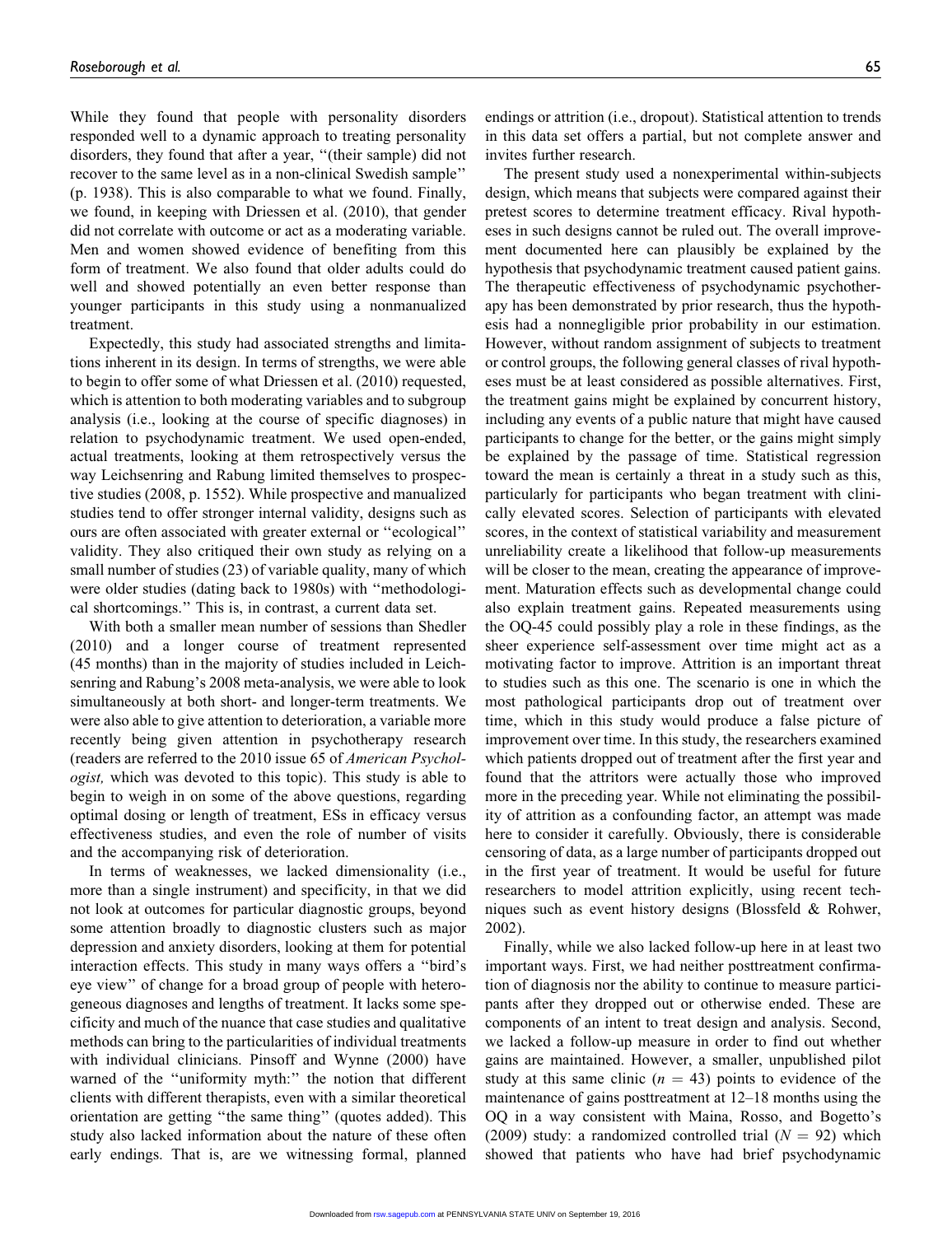While they found that people with personality disorders responded well to a dynamic approach to treating personality disorders, they found that after a year, ''(their sample) did not recover to the same level as in a non-clinical Swedish sample'' (p. 1938). This is also comparable to what we found. Finally, we found, in keeping with Driessen et al. (2010), that gender did not correlate with outcome or act as a moderating variable. Men and women showed evidence of benefiting from this form of treatment. We also found that older adults could do well and showed potentially an even better response than younger participants in this study using a nonmanualized treatment.

Expectedly, this study had associated strengths and limitations inherent in its design. In terms of strengths, we were able to begin to offer some of what Driessen et al. (2010) requested, which is attention to both moderating variables and to subgroup analysis (i.e., looking at the course of specific diagnoses) in relation to psychodynamic treatment. We used open-ended, actual treatments, looking at them retrospectively versus the way Leichsenring and Rabung limited themselves to prospective studies (2008, p. 1552). While prospective and manualized studies tend to offer stronger internal validity, designs such as ours are often associated with greater external or ''ecological'' validity. They also critiqued their own study as relying on a small number of studies (23) of variable quality, many of which were older studies (dating back to 1980s) with ''methodological shortcomings.'' This is, in contrast, a current data set.

With both a smaller mean number of sessions than Shedler (2010) and a longer course of treatment represented (45 months) than in the majority of studies included in Leichsenring and Rabung's 2008 meta-analysis, we were able to look simultaneously at both short- and longer-term treatments. We were also able to give attention to deterioration, a variable more recently being given attention in psychotherapy research (readers are referred to the 2010 issue 65 of American Psychologist, which was devoted to this topic). This study is able to begin to weigh in on some of the above questions, regarding optimal dosing or length of treatment, ESs in efficacy versus effectiveness studies, and even the role of number of visits and the accompanying risk of deterioration.

In terms of weaknesses, we lacked dimensionality (i.e., more than a single instrument) and specificity, in that we did not look at outcomes for particular diagnostic groups, beyond some attention broadly to diagnostic clusters such as major depression and anxiety disorders, looking at them for potential interaction effects. This study in many ways offers a ''bird's eye view'' of change for a broad group of people with heterogeneous diagnoses and lengths of treatment. It lacks some specificity and much of the nuance that case studies and qualitative methods can bring to the particularities of individual treatments with individual clinicians. Pinsoff and Wynne (2000) have warned of the ''uniformity myth:'' the notion that different clients with different therapists, even with a similar theoretical orientation are getting ''the same thing'' (quotes added). This study also lacked information about the nature of these often early endings. That is, are we witnessing formal, planned

endings or attrition (i.e., dropout). Statistical attention to trends in this data set offers a partial, but not complete answer and invites further research.

The present study used a nonexperimental within-subjects design, which means that subjects were compared against their pretest scores to determine treatment efficacy. Rival hypotheses in such designs cannot be ruled out. The overall improvement documented here can plausibly be explained by the hypothesis that psychodynamic treatment caused patient gains. The therapeutic effectiveness of psychodynamic psychotherapy has been demonstrated by prior research, thus the hypothesis had a nonnegligible prior probability in our estimation. However, without random assignment of subjects to treatment or control groups, the following general classes of rival hypotheses must be at least considered as possible alternatives. First, the treatment gains might be explained by concurrent history, including any events of a public nature that might have caused participants to change for the better, or the gains might simply be explained by the passage of time. Statistical regression toward the mean is certainly a threat in a study such as this, particularly for participants who began treatment with clinically elevated scores. Selection of participants with elevated scores, in the context of statistical variability and measurement unreliability create a likelihood that follow-up measurements will be closer to the mean, creating the appearance of improvement. Maturation effects such as developmental change could also explain treatment gains. Repeated measurements using the OQ-45 could possibly play a role in these findings, as the sheer experience self-assessment over time might act as a motivating factor to improve. Attrition is an important threat to studies such as this one. The scenario is one in which the most pathological participants drop out of treatment over time, which in this study would produce a false picture of improvement over time. In this study, the researchers examined which patients dropped out of treatment after the first year and found that the attritors were actually those who improved more in the preceding year. While not eliminating the possibility of attrition as a confounding factor, an attempt was made here to consider it carefully. Obviously, there is considerable censoring of data, as a large number of participants dropped out in the first year of treatment. It would be useful for future researchers to model attrition explicitly, using recent techniques such as event history designs (Blossfeld & Rohwer, 2002).

Finally, while we also lacked follow-up here in at least two important ways. First, we had neither posttreatment confirmation of diagnosis nor the ability to continue to measure participants after they dropped out or otherwise ended. These are components of an intent to treat design and analysis. Second, we lacked a follow-up measure in order to find out whether gains are maintained. However, a smaller, unpublished pilot study at this same clinic  $(n = 43)$  points to evidence of the maintenance of gains posttreatment at 12–18 months using the OQ in a way consistent with Maina, Rosso, and Bogetto's (2009) study: a randomized controlled trial  $(N = 92)$  which showed that patients who have had brief psychodynamic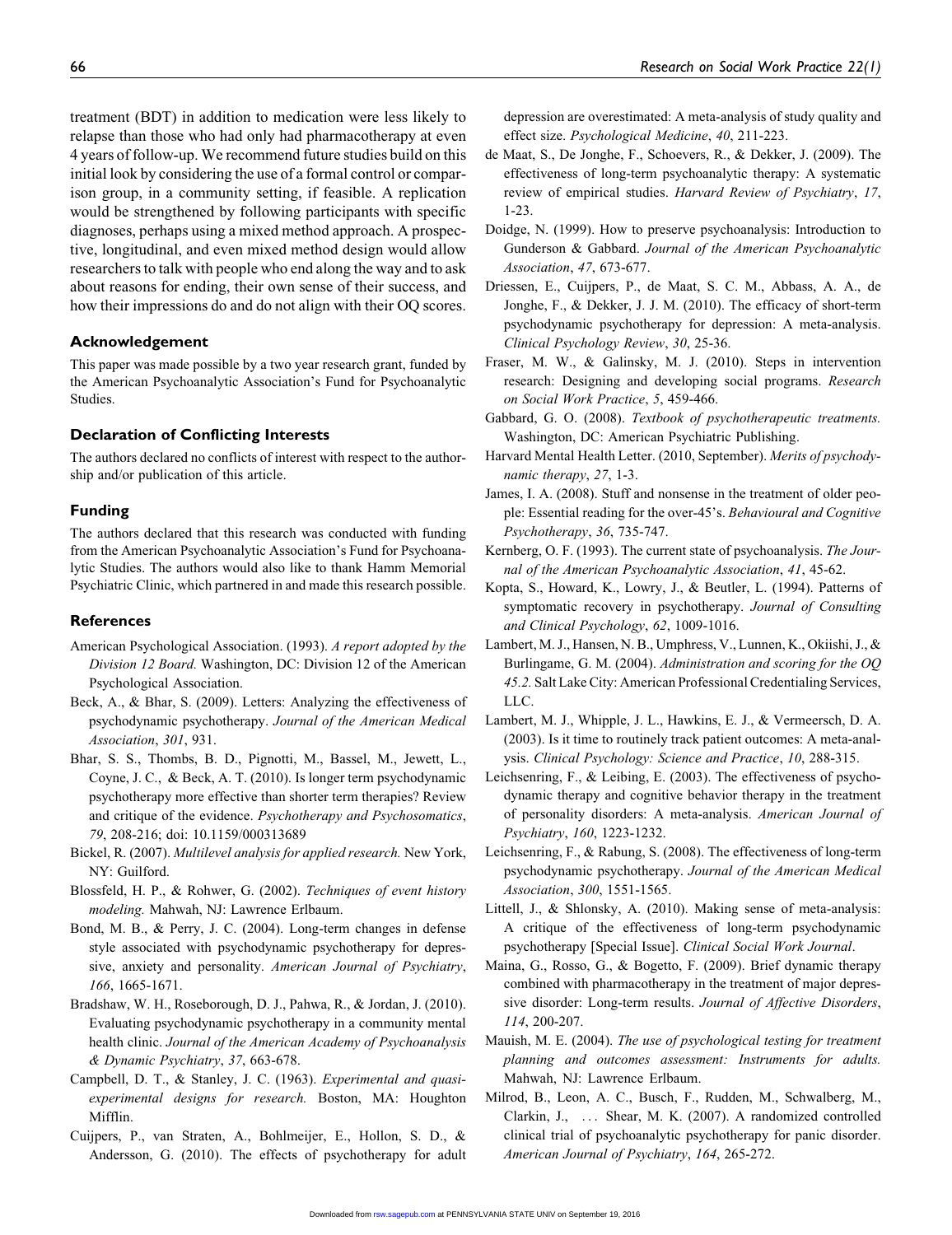treatment (BDT) in addition to medication were less likely to relapse than those who had only had pharmacotherapy at even 4 years of follow-up. We recommend future studies build on this initial look by considering the use of a formal control or comparison group, in a community setting, if feasible. A replication would be strengthened by following participants with specific diagnoses, perhaps using a mixed method approach. A prospective, longitudinal, and even mixed method design would allow researchers to talk with people who end along the way and to ask about reasons for ending, their own sense of their success, and how their impressions do and do not align with their OQ scores.

#### Acknowledgement

This paper was made possible by a two year research grant, funded by the American Psychoanalytic Association's Fund for Psychoanalytic Studies.

#### Declaration of Conflicting Interests

The authors declared no conflicts of interest with respect to the authorship and/or publication of this article.

#### Funding

The authors declared that this research was conducted with funding from the American Psychoanalytic Association's Fund for Psychoanalytic Studies. The authors would also like to thank Hamm Memorial Psychiatric Clinic, which partnered in and made this research possible.

#### **References**

- American Psychological Association. (1993). A report adopted by the Division 12 Board. Washington, DC: Division 12 of the American Psychological Association.
- Beck, A., & Bhar, S. (2009). Letters: Analyzing the effectiveness of psychodynamic psychotherapy. Journal of the American Medical Association, 301, 931.
- Bhar, S. S., Thombs, B. D., Pignotti, M., Bassel, M., Jewett, L., Coyne, J. C., & Beck, A. T. (2010). Is longer term psychodynamic psychotherapy more effective than shorter term therapies? Review and critique of the evidence. Psychotherapy and Psychosomatics, 79, 208-216; doi: 10.1159/000313689
- Bickel, R. (2007). Multilevel analysis for applied research. New York, NY: Guilford.
- Blossfeld, H. P., & Rohwer, G. (2002). Techniques of event history modeling. Mahwah, NJ: Lawrence Erlbaum.
- Bond, M. B., & Perry, J. C. (2004). Long-term changes in defense style associated with psychodynamic psychotherapy for depressive, anxiety and personality. American Journal of Psychiatry, 166, 1665-1671.
- Bradshaw, W. H., Roseborough, D. J., Pahwa, R., & Jordan, J. (2010). Evaluating psychodynamic psychotherapy in a community mental health clinic. Journal of the American Academy of Psychoanalysis & Dynamic Psychiatry, 37, 663-678.
- Campbell, D. T., & Stanley, J. C. (1963). Experimental and quasiexperimental designs for research. Boston, MA: Houghton Mifflin.
- Cuijpers, P., van Straten, A., Bohlmeijer, E., Hollon, S. D., & Andersson, G. (2010). The effects of psychotherapy for adult

depression are overestimated: A meta-analysis of study quality and effect size. Psychological Medicine, 40, 211-223.

- de Maat, S., De Jonghe, F., Schoevers, R., & Dekker, J. (2009). The effectiveness of long-term psychoanalytic therapy: A systematic review of empirical studies. Harvard Review of Psychiatry, 17, 1-23.
- Doidge, N. (1999). How to preserve psychoanalysis: Introduction to Gunderson & Gabbard. Journal of the American Psychoanalytic Association, 47, 673-677.
- Driessen, E., Cuijpers, P., de Maat, S. C. M., Abbass, A. A., de Jonghe, F., & Dekker, J. J. M. (2010). The efficacy of short-term psychodynamic psychotherapy for depression: A meta-analysis. Clinical Psychology Review, 30, 25-36.
- Fraser, M. W., & Galinsky, M. J. (2010). Steps in intervention research: Designing and developing social programs. Research on Social Work Practice, 5, 459-466.
- Gabbard, G. O. (2008). Textbook of psychotherapeutic treatments. Washington, DC: American Psychiatric Publishing.
- Harvard Mental Health Letter. (2010, September). Merits of psychodynamic therapy, 27, 1-3.
- James, I. A. (2008). Stuff and nonsense in the treatment of older people: Essential reading for the over-45's. Behavioural and Cognitive Psychotherapy, 36, 735-747.
- Kernberg, O. F. (1993). The current state of psychoanalysis. The Journal of the American Psychoanalytic Association, 41, 45-62.
- Kopta, S., Howard, K., Lowry, J., & Beutler, L. (1994). Patterns of symptomatic recovery in psychotherapy. Journal of Consulting and Clinical Psychology, 62, 1009-1016.
- Lambert, M. J., Hansen, N. B., Umphress, V., Lunnen, K., Okiishi, J., & Burlingame, G. M. (2004). Administration and scoring for the OQ 45.2. Salt Lake City: American Professional Credentialing Services, LLC.
- Lambert, M. J., Whipple, J. L., Hawkins, E. J., & Vermeersch, D. A. (2003). Is it time to routinely track patient outcomes: A meta-analysis. Clinical Psychology: Science and Practice, 10, 288-315.
- Leichsenring, F., & Leibing, E. (2003). The effectiveness of psychodynamic therapy and cognitive behavior therapy in the treatment of personality disorders: A meta-analysis. American Journal of Psychiatry, 160, 1223-1232.
- Leichsenring, F., & Rabung, S. (2008). The effectiveness of long-term psychodynamic psychotherapy. Journal of the American Medical Association, 300, 1551-1565.
- Littell, J., & Shlonsky, A. (2010). Making sense of meta-analysis: A critique of the effectiveness of long-term psychodynamic psychotherapy [Special Issue]. Clinical Social Work Journal.
- Maina, G., Rosso, G., & Bogetto, F. (2009). Brief dynamic therapy combined with pharmacotherapy in the treatment of major depressive disorder: Long-term results. Journal of Affective Disorders, 114, 200-207.
- Mauish, M. E. (2004). The use of psychological testing for treatment planning and outcomes assessment: Instruments for adults. Mahwah, NJ: Lawrence Erlbaum.
- Milrod, B., Leon, A. C., Busch, F., Rudden, M., Schwalberg, M., Clarkin, J., ... Shear, M. K. (2007). A randomized controlled clinical trial of psychoanalytic psychotherapy for panic disorder. American Journal of Psychiatry, 164, 265-272.